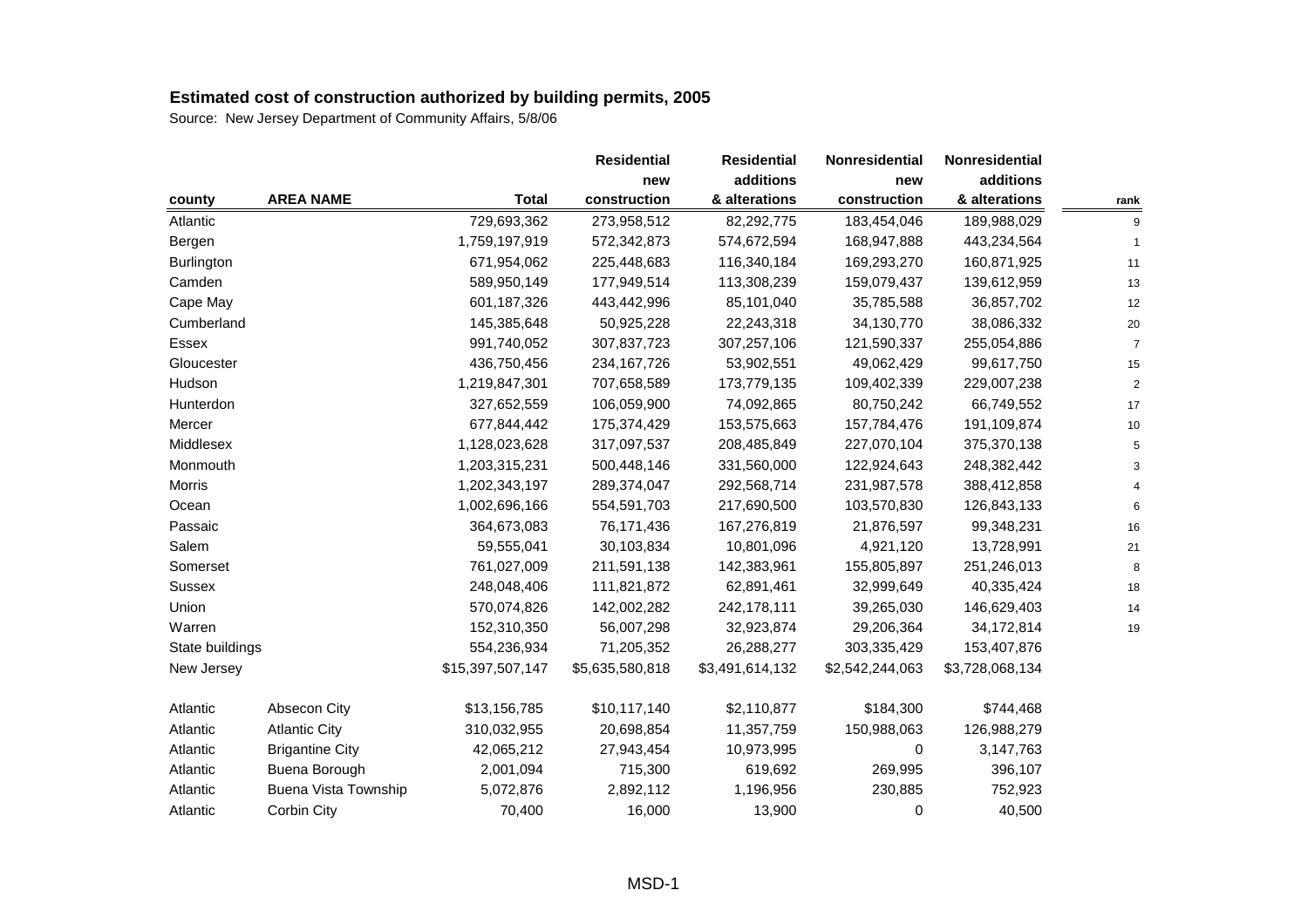|                 |                        |                  | <b>Residential</b> | <b>Residential</b> | Nonresidential  | Nonresidential  |                |
|-----------------|------------------------|------------------|--------------------|--------------------|-----------------|-----------------|----------------|
|                 |                        |                  | new                | additions          | new             | additions       |                |
| county          | <b>AREA NAME</b>       | <b>Total</b>     | construction       | & alterations      | construction    | & alterations   | rank           |
| Atlantic        |                        | 729,693,362      | 273,958,512        | 82,292,775         | 183,454,046     | 189,988,029     | 9              |
| Bergen          |                        | 1,759,197,919    | 572,342,873        | 574,672,594        | 168,947,888     | 443,234,564     | 1              |
| Burlington      |                        | 671,954,062      | 225,448,683        | 116,340,184        | 169,293,270     | 160,871,925     | 11             |
| Camden          |                        | 589,950,149      | 177,949,514        | 113,308,239        | 159,079,437     | 139,612,959     | 13             |
| Cape May        |                        | 601,187,326      | 443,442,996        | 85,101,040         | 35,785,588      | 36,857,702      | 12             |
| Cumberland      |                        | 145,385,648      | 50,925,228         | 22,243,318         | 34,130,770      | 38,086,332      | 20             |
| Essex           |                        | 991,740,052      | 307,837,723        | 307,257,106        | 121,590,337     | 255,054,886     | $\overline{7}$ |
| Gloucester      |                        | 436,750,456      | 234, 167, 726      | 53,902,551         | 49,062,429      | 99,617,750      | 15             |
| Hudson          |                        | 1,219,847,301    | 707,658,589        | 173,779,135        | 109,402,339     | 229,007,238     | $\sqrt{2}$     |
| Hunterdon       |                        | 327,652,559      | 106,059,900        | 74,092,865         | 80,750,242      | 66,749,552      | 17             |
| Mercer          |                        | 677,844,442      | 175,374,429        | 153,575,663        | 157,784,476     | 191,109,874     | 10             |
| Middlesex       |                        | 1,128,023,628    | 317,097,537        | 208,485,849        | 227,070,104     | 375,370,138     | 5              |
| Monmouth        |                        | 1,203,315,231    | 500,448,146        | 331,560,000        | 122,924,643     | 248,382,442     | 3              |
| Morris          |                        | 1,202,343,197    | 289,374,047        | 292,568,714        | 231,987,578     | 388,412,858     | $\overline{4}$ |
| Ocean           |                        | 1,002,696,166    | 554,591,703        | 217,690,500        | 103,570,830     | 126,843,133     | 6              |
| Passaic         |                        | 364,673,083      | 76,171,436         | 167,276,819        | 21,876,597      | 99,348,231      | 16             |
| Salem           |                        | 59,555,041       | 30,103,834         | 10,801,096         | 4,921,120       | 13,728,991      | 21             |
| Somerset        |                        | 761,027,009      | 211,591,138        | 142,383,961        | 155,805,897     | 251,246,013     | 8              |
| <b>Sussex</b>   |                        | 248,048,406      | 111,821,872        | 62,891,461         | 32,999,649      | 40,335,424      | 18             |
| Union           |                        | 570,074,826      | 142,002,282        | 242,178,111        | 39,265,030      | 146,629,403     | 14             |
| Warren          |                        | 152,310,350      | 56,007,298         | 32,923,874         | 29,206,364      | 34,172,814      | 19             |
| State buildings |                        | 554,236,934      | 71,205,352         | 26,288,277         | 303,335,429     | 153,407,876     |                |
| New Jersey      |                        | \$15,397,507,147 | \$5,635,580,818    | \$3,491,614,132    | \$2,542,244,063 | \$3,728,068,134 |                |
| Atlantic        | <b>Absecon City</b>    | \$13,156,785     | \$10,117,140       | \$2,110,877        | \$184,300       | \$744,468       |                |
| Atlantic        | <b>Atlantic City</b>   | 310,032,955      | 20,698,854         | 11,357,759         | 150,988,063     | 126,988,279     |                |
| Atlantic        | <b>Brigantine City</b> | 42,065,212       | 27,943,454         | 10,973,995         | 0               | 3,147,763       |                |
| Atlantic        | Buena Borough          | 2,001,094        | 715,300            | 619,692            | 269,995         | 396,107         |                |
| Atlantic        | Buena Vista Township   | 5,072,876        | 2,892,112          | 1,196,956          | 230,885         | 752,923         |                |
| Atlantic        | Corbin City            | 70,400           | 16,000             | 13,900             | 0               | 40,500          |                |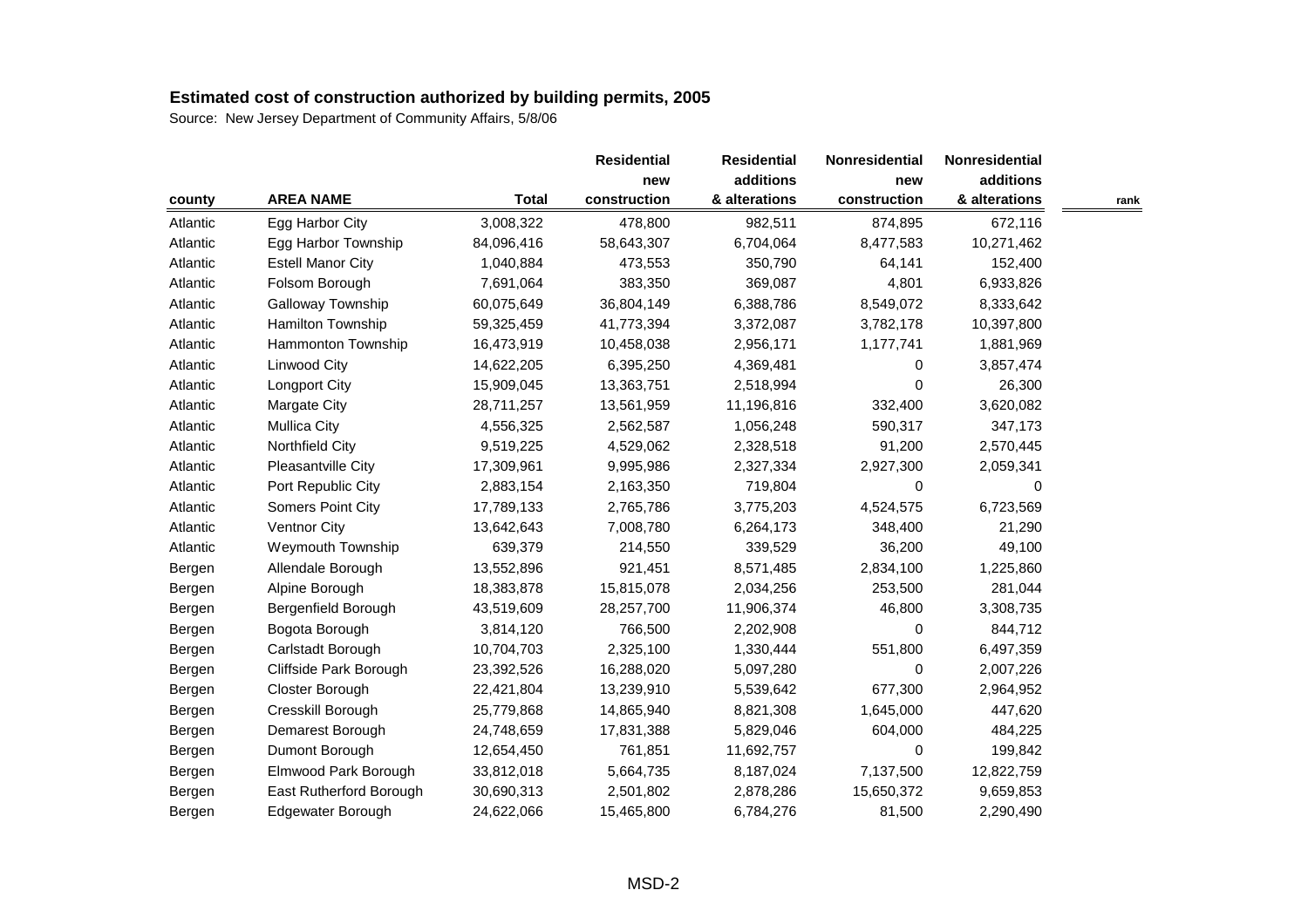|          |                          |              | <b>Residential</b> | <b>Residential</b> | Nonresidential | Nonresidential |      |
|----------|--------------------------|--------------|--------------------|--------------------|----------------|----------------|------|
|          |                          |              | new                | additions          | new            | additions      |      |
| county   | <b>AREA NAME</b>         | <b>Total</b> | construction       | & alterations      | construction   | & alterations  | rank |
| Atlantic | Egg Harbor City          | 3,008,322    | 478,800            | 982,511            | 874,895        | 672,116        |      |
| Atlantic | Egg Harbor Township      | 84,096,416   | 58,643,307         | 6,704,064          | 8,477,583      | 10,271,462     |      |
| Atlantic | <b>Estell Manor City</b> | 1,040,884    | 473,553            | 350,790            | 64,141         | 152,400        |      |
| Atlantic | Folsom Borough           | 7,691,064    | 383,350            | 369,087            | 4,801          | 6,933,826      |      |
| Atlantic | Galloway Township        | 60,075,649   | 36,804,149         | 6,388,786          | 8,549,072      | 8,333,642      |      |
| Atlantic | Hamilton Township        | 59,325,459   | 41,773,394         | 3,372,087          | 3,782,178      | 10,397,800     |      |
| Atlantic | Hammonton Township       | 16,473,919   | 10,458,038         | 2,956,171          | 1,177,741      | 1,881,969      |      |
| Atlantic | Linwood City             | 14,622,205   | 6,395,250          | 4,369,481          | 0              | 3,857,474      |      |
| Atlantic | <b>Longport City</b>     | 15,909,045   | 13,363,751         | 2,518,994          | 0              | 26,300         |      |
| Atlantic | Margate City             | 28,711,257   | 13,561,959         | 11,196,816         | 332,400        | 3,620,082      |      |
| Atlantic | <b>Mullica City</b>      | 4,556,325    | 2,562,587          | 1,056,248          | 590,317        | 347,173        |      |
| Atlantic | Northfield City          | 9,519,225    | 4,529,062          | 2,328,518          | 91,200         | 2,570,445      |      |
| Atlantic | Pleasantville City       | 17,309,961   | 9,995,986          | 2,327,334          | 2,927,300      | 2,059,341      |      |
| Atlantic | Port Republic City       | 2,883,154    | 2,163,350          | 719,804            | 0              | 0              |      |
| Atlantic | Somers Point City        | 17,789,133   | 2,765,786          | 3,775,203          | 4,524,575      | 6,723,569      |      |
| Atlantic | Ventnor City             | 13,642,643   | 7,008,780          | 6,264,173          | 348,400        | 21,290         |      |
| Atlantic | Weymouth Township        | 639,379      | 214,550            | 339,529            | 36,200         | 49,100         |      |
| Bergen   | Allendale Borough        | 13,552,896   | 921,451            | 8,571,485          | 2,834,100      | 1,225,860      |      |
| Bergen   | Alpine Borough           | 18,383,878   | 15,815,078         | 2,034,256          | 253,500        | 281,044        |      |
| Bergen   | Bergenfield Borough      | 43,519,609   | 28,257,700         | 11,906,374         | 46,800         | 3,308,735      |      |
| Bergen   | Bogota Borough           | 3,814,120    | 766,500            | 2,202,908          | $\Omega$       | 844,712        |      |
| Bergen   | Carlstadt Borough        | 10,704,703   | 2,325,100          | 1,330,444          | 551,800        | 6,497,359      |      |
| Bergen   | Cliffside Park Borough   | 23,392,526   | 16,288,020         | 5,097,280          | 0              | 2,007,226      |      |
| Bergen   | Closter Borough          | 22,421,804   | 13,239,910         | 5,539,642          | 677,300        | 2,964,952      |      |
| Bergen   | Cresskill Borough        | 25,779,868   | 14,865,940         | 8,821,308          | 1,645,000      | 447,620        |      |
| Bergen   | Demarest Borough         | 24,748,659   | 17,831,388         | 5,829,046          | 604,000        | 484,225        |      |
| Bergen   | Dumont Borough           | 12,654,450   | 761,851            | 11,692,757         | $\mathbf 0$    | 199,842        |      |
| Bergen   | Elmwood Park Borough     | 33,812,018   | 5,664,735          | 8,187,024          | 7,137,500      | 12,822,759     |      |
| Bergen   | East Rutherford Borough  | 30,690,313   | 2,501,802          | 2,878,286          | 15,650,372     | 9,659,853      |      |
| Bergen   | Edgewater Borough        | 24,622,066   | 15,465,800         | 6,784,276          | 81,500         | 2,290,490      |      |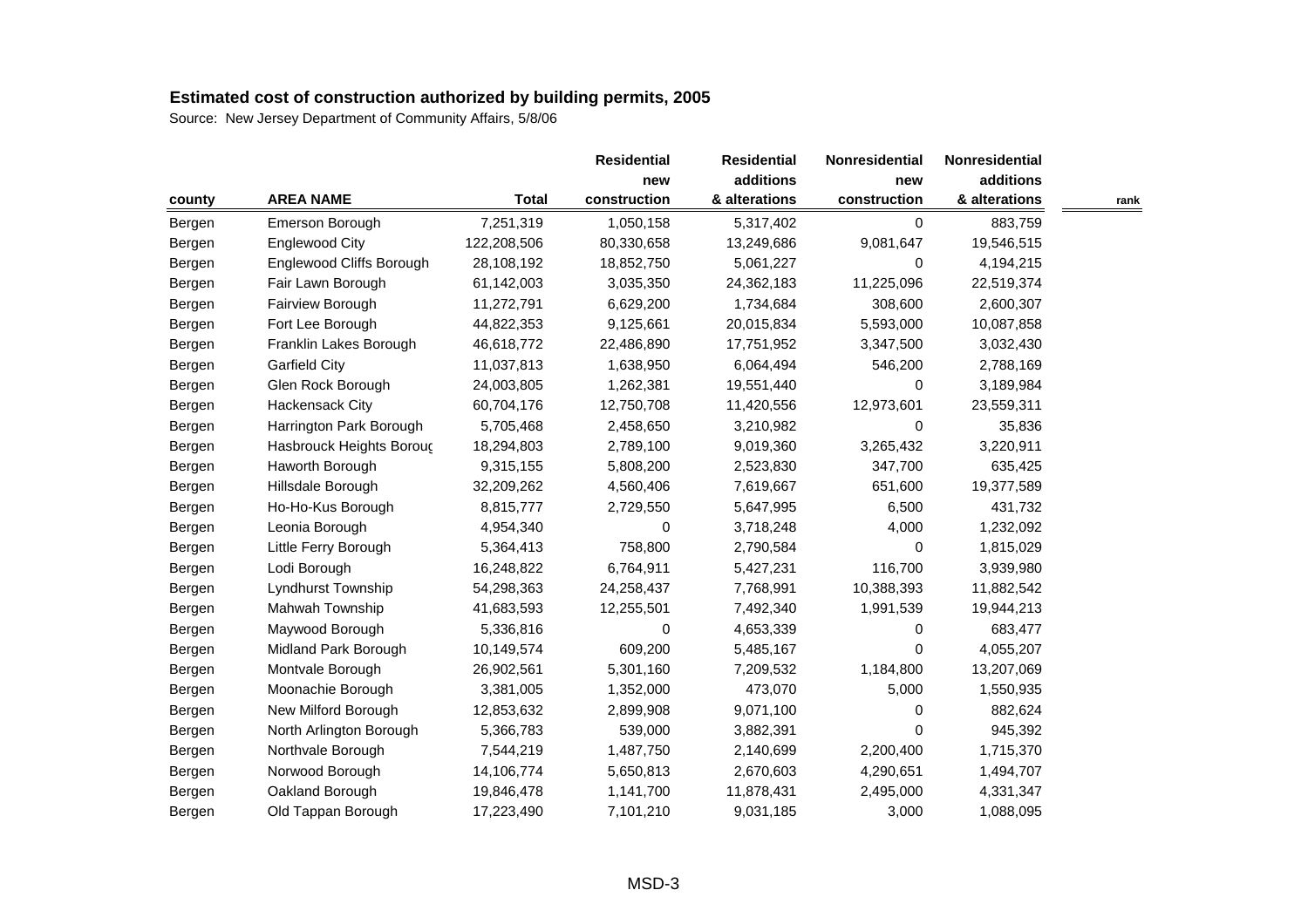|        |                          |              | <b>Residential</b> | <b>Residential</b> | Nonresidential | Nonresidential |      |
|--------|--------------------------|--------------|--------------------|--------------------|----------------|----------------|------|
|        |                          |              |                    | additions          | new            | additions      |      |
| county | <b>AREA NAME</b>         | <b>Total</b> | construction       | & alterations      | construction   | & alterations  | rank |
| Bergen | Emerson Borough          | 7,251,319    | 1,050,158          | 5,317,402          | 0              | 883,759        |      |
| Bergen | <b>Englewood City</b>    | 122,208,506  | 80,330,658         | 13,249,686         | 9,081,647      | 19,546,515     |      |
| Bergen | Englewood Cliffs Borough | 28,108,192   | 18,852,750         | 5,061,227          | 0              | 4,194,215      |      |
| Bergen | Fair Lawn Borough        | 61,142,003   | 3,035,350          | 24,362,183         | 11,225,096     | 22,519,374     |      |
| Bergen | Fairview Borough         | 11,272,791   | 6,629,200          | 1,734,684          | 308,600        | 2,600,307      |      |
| Bergen | Fort Lee Borough         | 44,822,353   | 9,125,661          | 20,015,834         | 5,593,000      | 10,087,858     |      |
| Bergen | Franklin Lakes Borough   | 46,618,772   | 22,486,890         | 17,751,952         | 3,347,500      | 3,032,430      |      |
| Bergen | <b>Garfield City</b>     | 11,037,813   | 1,638,950          | 6,064,494          | 546,200        | 2,788,169      |      |
| Bergen | Glen Rock Borough        | 24,003,805   | 1,262,381          | 19,551,440         | 0              | 3,189,984      |      |
| Bergen | <b>Hackensack City</b>   | 60,704,176   | 12,750,708         | 11,420,556         | 12,973,601     | 23,559,311     |      |
| Bergen | Harrington Park Borough  | 5,705,468    | 2,458,650          | 3,210,982          | 0              | 35,836         |      |
| Bergen | Hasbrouck Heights Boroug | 18,294,803   | 2,789,100          | 9,019,360          | 3,265,432      | 3,220,911      |      |
| Bergen | Haworth Borough          | 9,315,155    | 5,808,200          | 2,523,830          | 347,700        | 635,425        |      |
| Bergen | Hillsdale Borough        | 32,209,262   | 4,560,406          | 7,619,667          | 651,600        | 19,377,589     |      |
| Bergen | Ho-Ho-Kus Borough        | 8,815,777    | 2,729,550          | 5,647,995          | 6,500          | 431,732        |      |
| Bergen | Leonia Borough           | 4,954,340    | 0                  | 3,718,248          | 4,000          | 1,232,092      |      |
| Bergen | Little Ferry Borough     | 5,364,413    | 758,800            | 2,790,584          | 0              | 1,815,029      |      |
| Bergen | Lodi Borough             | 16,248,822   | 6,764,911          | 5,427,231          | 116,700        | 3,939,980      |      |
| Bergen | Lyndhurst Township       | 54,298,363   | 24,258,437         | 7,768,991          | 10,388,393     | 11,882,542     |      |
| Bergen | Mahwah Township          | 41,683,593   | 12,255,501         | 7,492,340          | 1,991,539      | 19,944,213     |      |
| Bergen | Maywood Borough          | 5,336,816    | 0                  | 4,653,339          | 0              | 683,477        |      |
| Bergen | Midland Park Borough     | 10,149,574   | 609,200            | 5,485,167          | 0              | 4,055,207      |      |
| Bergen | Montvale Borough         | 26,902,561   | 5,301,160          | 7,209,532          | 1,184,800      | 13,207,069     |      |
| Bergen | Moonachie Borough        | 3,381,005    | 1,352,000          | 473,070            | 5,000          | 1,550,935      |      |
| Bergen | New Milford Borough      | 12,853,632   | 2,899,908          | 9,071,100          | 0              | 882,624        |      |
| Bergen | North Arlington Borough  | 5,366,783    | 539,000            | 3,882,391          | 0              | 945,392        |      |
| Bergen | Northvale Borough        | 7,544,219    | 1,487,750          | 2,140,699          | 2,200,400      | 1,715,370      |      |
| Bergen | Norwood Borough          | 14,106,774   | 5,650,813          | 2,670,603          | 4,290,651      | 1,494,707      |      |
| Bergen | Oakland Borough          | 19,846,478   | 1,141,700          | 11,878,431         | 2,495,000      | 4,331,347      |      |
| Bergen | Old Tappan Borough       | 17,223,490   | 7,101,210          | 9,031,185          | 3,000          | 1,088,095      |      |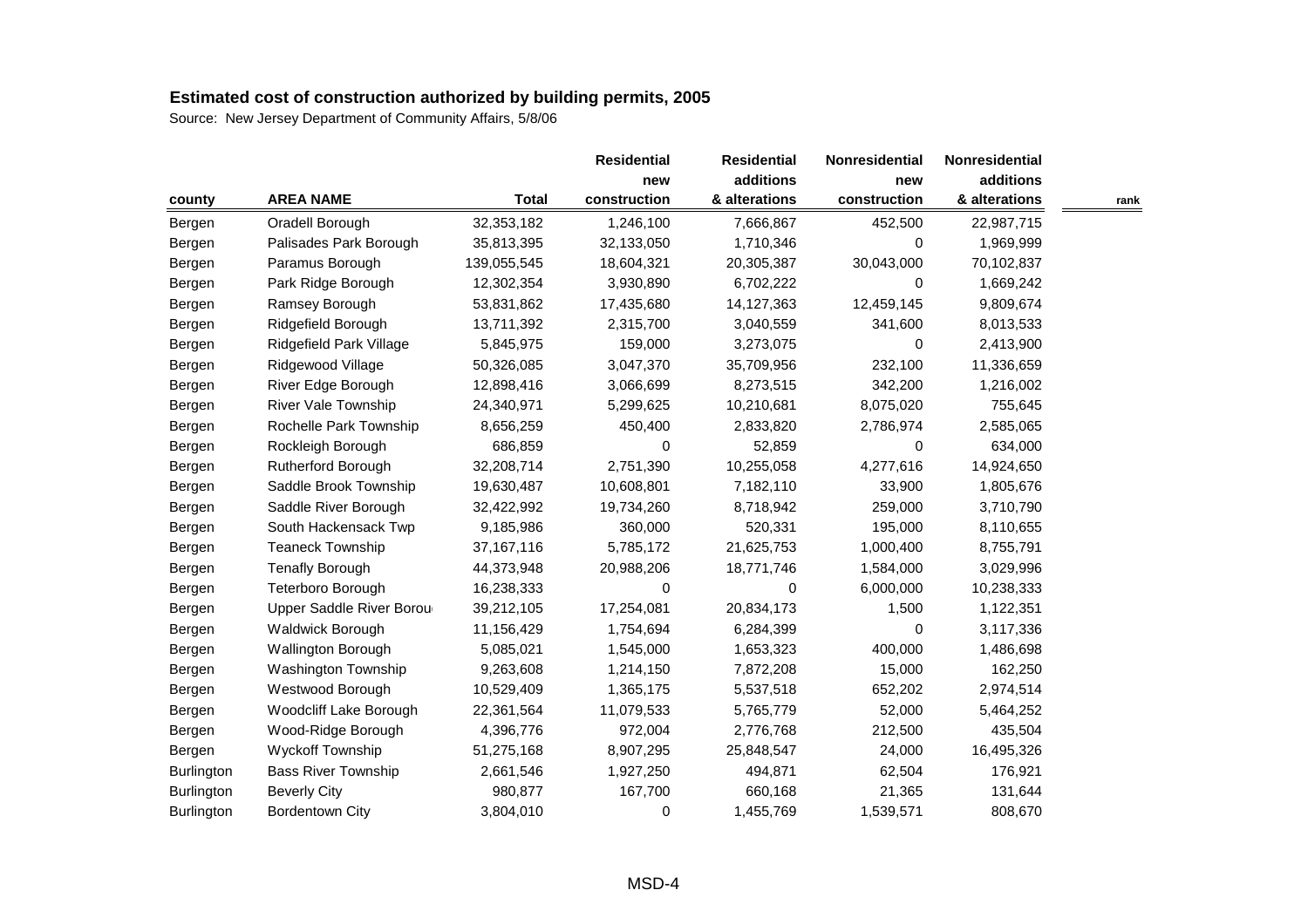|                   |                            |              | <b>Residential</b> | <b>Residential</b> | Nonresidential | Nonresidential |      |
|-------------------|----------------------------|--------------|--------------------|--------------------|----------------|----------------|------|
|                   |                            |              | new                | additions          | new            | additions      |      |
| county            | <b>AREA NAME</b>           | <b>Total</b> | construction       | & alterations      | construction   | & alterations  | rank |
| Bergen            | Oradell Borough            | 32,353,182   | 1,246,100          | 7,666,867          | 452,500        | 22,987,715     |      |
| Bergen            | Palisades Park Borough     | 35,813,395   | 32,133,050         | 1,710,346          | 0              | 1,969,999      |      |
| Bergen            | Paramus Borough            | 139,055,545  | 18,604,321         | 20,305,387         | 30,043,000     | 70,102,837     |      |
| Bergen            | Park Ridge Borough         | 12,302,354   | 3,930,890          | 6,702,222          | 0              | 1,669,242      |      |
| Bergen            | Ramsey Borough             | 53,831,862   | 17,435,680         | 14,127,363         | 12,459,145     | 9,809,674      |      |
| Bergen            | Ridgefield Borough         | 13,711,392   | 2,315,700          | 3,040,559          | 341,600        | 8,013,533      |      |
| Bergen            | Ridgefield Park Village    | 5,845,975    | 159,000            | 3,273,075          | 0              | 2,413,900      |      |
| Bergen            | Ridgewood Village          | 50,326,085   | 3,047,370          | 35,709,956         | 232,100        | 11,336,659     |      |
| Bergen            | River Edge Borough         | 12,898,416   | 3,066,699          | 8,273,515          | 342,200        | 1,216,002      |      |
| Bergen            | River Vale Township        | 24,340,971   | 5,299,625          | 10,210,681         | 8,075,020      | 755,645        |      |
| Bergen            | Rochelle Park Township     | 8,656,259    | 450,400            | 2,833,820          | 2,786,974      | 2,585,065      |      |
| Bergen            | Rockleigh Borough          | 686,859      | 0                  | 52,859             | $\mathbf 0$    | 634,000        |      |
| Bergen            | Rutherford Borough         | 32,208,714   | 2,751,390          | 10,255,058         | 4,277,616      | 14,924,650     |      |
| Bergen            | Saddle Brook Township      | 19,630,487   | 10,608,801         | 7,182,110          | 33,900         | 1,805,676      |      |
| Bergen            | Saddle River Borough       | 32,422,992   | 19,734,260         | 8,718,942          | 259,000        | 3,710,790      |      |
| Bergen            | South Hackensack Twp       | 9,185,986    | 360,000            | 520,331            | 195,000        | 8,110,655      |      |
| Bergen            | <b>Teaneck Township</b>    | 37, 167, 116 | 5,785,172          | 21,625,753         | 1,000,400      | 8,755,791      |      |
| Bergen            | <b>Tenafly Borough</b>     | 44,373,948   | 20,988,206         | 18,771,746         | 1,584,000      | 3,029,996      |      |
| Bergen            | Teterboro Borough          | 16,238,333   | 0                  | 0                  | 6,000,000      | 10,238,333     |      |
| Bergen            | Upper Saddle River Borou   | 39,212,105   | 17,254,081         | 20,834,173         | 1,500          | 1,122,351      |      |
| Bergen            | Waldwick Borough           | 11,156,429   | 1,754,694          | 6,284,399          | 0              | 3,117,336      |      |
| Bergen            | Wallington Borough         | 5,085,021    | 1,545,000          | 1,653,323          | 400,000        | 1,486,698      |      |
| Bergen            | Washington Township        | 9,263,608    | 1,214,150          | 7,872,208          | 15,000         | 162,250        |      |
| Bergen            | Westwood Borough           | 10,529,409   | 1,365,175          | 5,537,518          | 652,202        | 2,974,514      |      |
| Bergen            | Woodcliff Lake Borough     | 22,361,564   | 11,079,533         | 5,765,779          | 52,000         | 5,464,252      |      |
| Bergen            | Wood-Ridge Borough         | 4,396,776    | 972,004            | 2,776,768          | 212,500        | 435,504        |      |
| Bergen            | <b>Wyckoff Township</b>    | 51,275,168   | 8,907,295          | 25,848,547         | 24,000         | 16,495,326     |      |
| <b>Burlington</b> | <b>Bass River Township</b> | 2,661,546    | 1,927,250          | 494,871            | 62,504         | 176,921        |      |
| Burlington        | <b>Beverly City</b>        | 980,877      | 167,700            | 660,168            | 21,365         | 131,644        |      |
| <b>Burlington</b> | <b>Bordentown City</b>     | 3,804,010    | 0                  | 1,455,769          | 1,539,571      | 808,670        |      |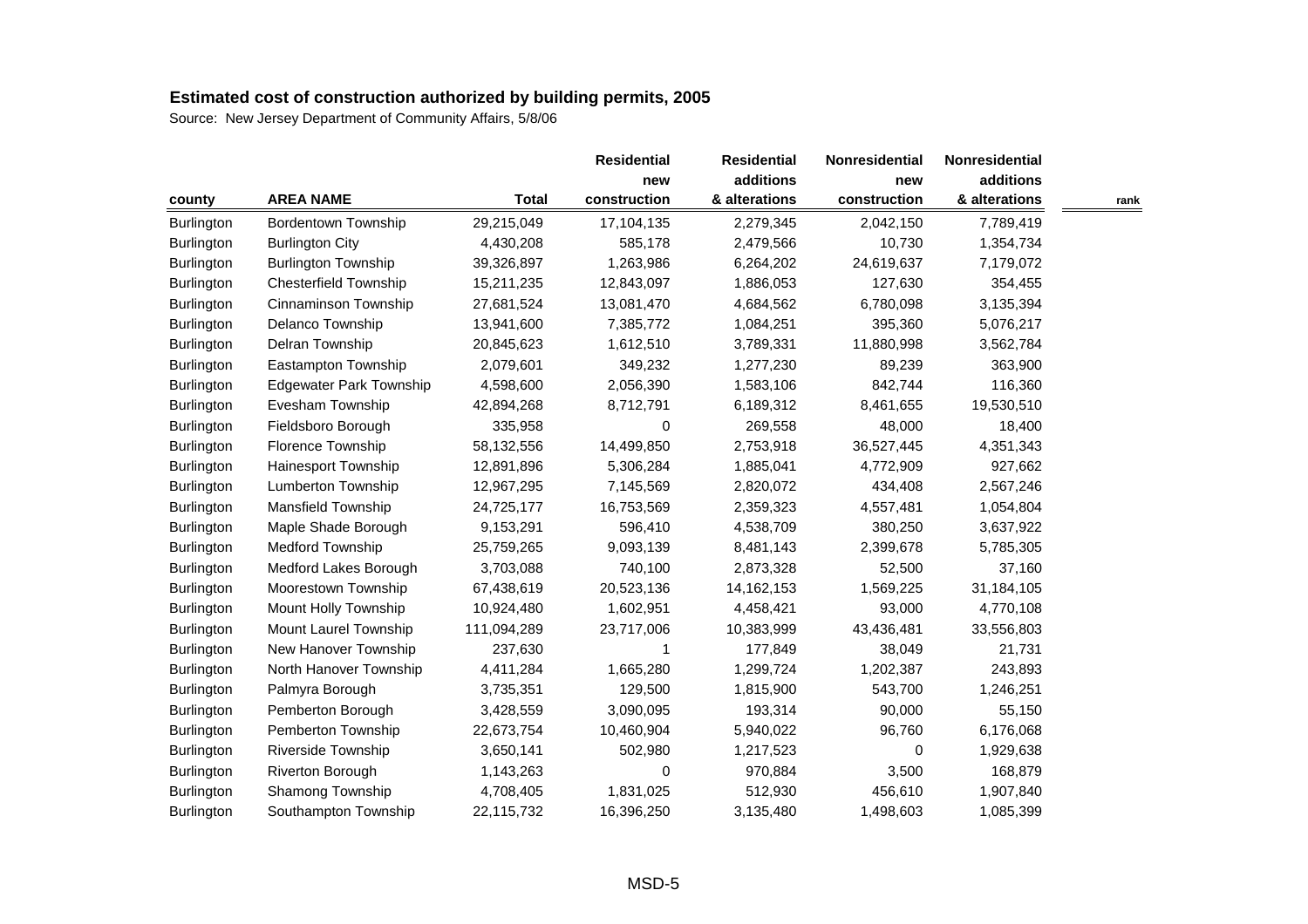|                   |                                |              | <b>Residential</b> | <b>Residential</b> | Nonresidential | Nonresidential |      |
|-------------------|--------------------------------|--------------|--------------------|--------------------|----------------|----------------|------|
|                   |                                |              | new                | additions          | new            | additions      |      |
| county            | <b>AREA NAME</b>               | <b>Total</b> | construction       | & alterations      | construction   | & alterations  | rank |
| <b>Burlington</b> | Bordentown Township            | 29,215,049   | 17,104,135         | 2,279,345          | 2,042,150      | 7,789,419      |      |
| Burlington        | <b>Burlington City</b>         | 4,430,208    | 585,178            | 2,479,566          | 10,730         | 1,354,734      |      |
| <b>Burlington</b> | <b>Burlington Township</b>     | 39,326,897   | 1,263,986          | 6,264,202          | 24,619,637     | 7,179,072      |      |
| Burlington        | <b>Chesterfield Township</b>   | 15,211,235   | 12,843,097         | 1,886,053          | 127,630        | 354,455        |      |
| Burlington        | Cinnaminson Township           | 27,681,524   | 13,081,470         | 4,684,562          | 6,780,098      | 3,135,394      |      |
| <b>Burlington</b> | Delanco Township               | 13,941,600   | 7,385,772          | 1,084,251          | 395,360        | 5,076,217      |      |
| Burlington        | Delran Township                | 20,845,623   | 1,612,510          | 3,789,331          | 11,880,998     | 3,562,784      |      |
| <b>Burlington</b> | Eastampton Township            | 2,079,601    | 349,232            | 1,277,230          | 89,239         | 363,900        |      |
| Burlington        | <b>Edgewater Park Township</b> | 4,598,600    | 2,056,390          | 1,583,106          | 842,744        | 116,360        |      |
| Burlington        | Evesham Township               | 42,894,268   | 8,712,791          | 6,189,312          | 8,461,655      | 19,530,510     |      |
| Burlington        | Fieldsboro Borough             | 335,958      | $\boldsymbol{0}$   | 269,558            | 48,000         | 18,400         |      |
| Burlington        | Florence Township              | 58,132,556   | 14,499,850         | 2,753,918          | 36,527,445     | 4,351,343      |      |
| Burlington        | Hainesport Township            | 12,891,896   | 5,306,284          | 1,885,041          | 4,772,909      | 927,662        |      |
| <b>Burlington</b> | Lumberton Township             | 12,967,295   | 7,145,569          | 2,820,072          | 434,408        | 2,567,246      |      |
| <b>Burlington</b> | Mansfield Township             | 24,725,177   | 16,753,569         | 2,359,323          | 4,557,481      | 1,054,804      |      |
| Burlington        | Maple Shade Borough            | 9,153,291    | 596,410            | 4,538,709          | 380,250        | 3,637,922      |      |
| <b>Burlington</b> | Medford Township               | 25,759,265   | 9,093,139          | 8,481,143          | 2,399,678      | 5,785,305      |      |
| Burlington        | Medford Lakes Borough          | 3,703,088    | 740,100            | 2,873,328          | 52,500         | 37,160         |      |
| <b>Burlington</b> | Moorestown Township            | 67,438,619   | 20,523,136         | 14, 162, 153       | 1,569,225      | 31,184,105     |      |
| Burlington        | Mount Holly Township           | 10,924,480   | 1,602,951          | 4,458,421          | 93,000         | 4,770,108      |      |
| Burlington        | Mount Laurel Township          | 111,094,289  | 23,717,006         | 10,383,999         | 43,436,481     | 33,556,803     |      |
| Burlington        | New Hanover Township           | 237,630      | 1                  | 177,849            | 38,049         | 21,731         |      |
| <b>Burlington</b> | North Hanover Township         | 4,411,284    | 1,665,280          | 1,299,724          | 1,202,387      | 243,893        |      |
| Burlington        | Palmyra Borough                | 3,735,351    | 129,500            | 1,815,900          | 543,700        | 1,246,251      |      |
| Burlington        | Pemberton Borough              | 3,428,559    | 3,090,095          | 193,314            | 90,000         | 55,150         |      |
| Burlington        | Pemberton Township             | 22,673,754   | 10,460,904         | 5,940,022          | 96,760         | 6,176,068      |      |
| Burlington        | <b>Riverside Township</b>      | 3,650,141    | 502,980            | 1,217,523          | 0              | 1,929,638      |      |
| Burlington        | <b>Riverton Borough</b>        | 1,143,263    | 0                  | 970,884            | 3,500          | 168,879        |      |
| Burlington        | Shamong Township               | 4,708,405    | 1,831,025          | 512,930            | 456,610        | 1,907,840      |      |
| <b>Burlington</b> | Southampton Township           | 22,115,732   | 16,396,250         | 3,135,480          | 1,498,603      | 1,085,399      |      |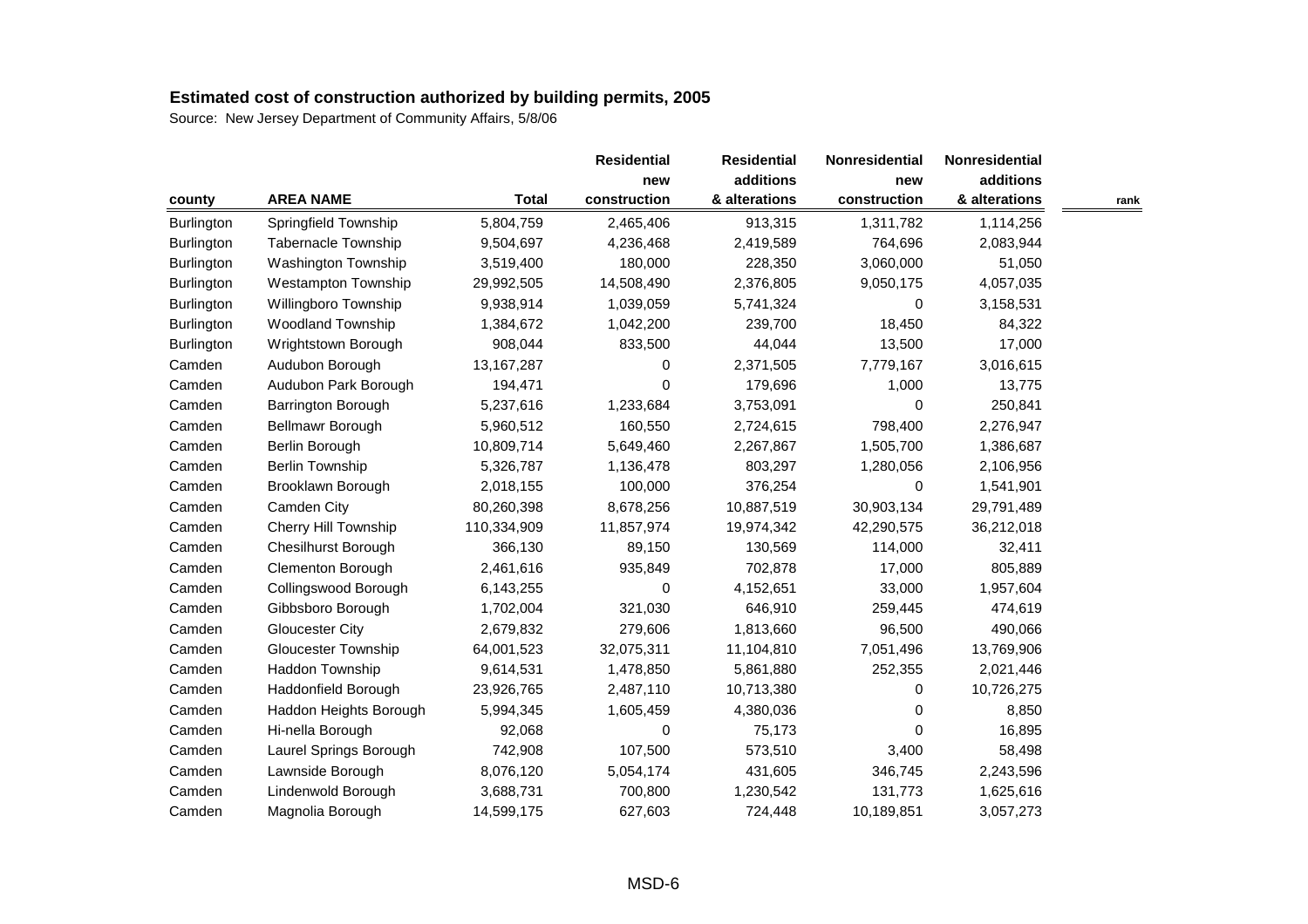|            |                            |              | <b>Residential</b> | <b>Residential</b> | Nonresidential | <b>Nonresidential</b> |      |
|------------|----------------------------|--------------|--------------------|--------------------|----------------|-----------------------|------|
|            |                            |              | new                | additions          | new            | additions             |      |
| county     | <b>AREA NAME</b>           | <b>Total</b> | construction       | & alterations      | construction   | & alterations         | rank |
| Burlington | Springfield Township       | 5,804,759    | 2,465,406          | 913,315            | 1,311,782      | 1,114,256             |      |
| Burlington | Tabernacle Township        | 9,504,697    | 4,236,468          | 2,419,589          | 764,696        | 2,083,944             |      |
| Burlington | Washington Township        | 3,519,400    | 180,000            | 228,350            | 3,060,000      | 51,050                |      |
| Burlington | <b>Westampton Township</b> | 29,992,505   | 14,508,490         | 2,376,805          | 9,050,175      | 4,057,035             |      |
| Burlington | Willingboro Township       | 9,938,914    | 1,039,059          | 5,741,324          | 0              | 3,158,531             |      |
| Burlington | <b>Woodland Township</b>   | 1,384,672    | 1,042,200          | 239,700            | 18,450         | 84,322                |      |
| Burlington | Wrightstown Borough        | 908,044      | 833,500            | 44,044             | 13,500         | 17,000                |      |
| Camden     | Audubon Borough            | 13, 167, 287 | 0                  | 2,371,505          | 7,779,167      | 3,016,615             |      |
| Camden     | Audubon Park Borough       | 194,471      | 0                  | 179,696            | 1,000          | 13,775                |      |
| Camden     | <b>Barrington Borough</b>  | 5,237,616    | 1,233,684          | 3,753,091          | 0              | 250,841               |      |
| Camden     | Bellmawr Borough           | 5,960,512    | 160,550            | 2,724,615          | 798,400        | 2,276,947             |      |
| Camden     | Berlin Borough             | 10,809,714   | 5,649,460          | 2,267,867          | 1,505,700      | 1,386,687             |      |
| Camden     | <b>Berlin Township</b>     | 5,326,787    | 1,136,478          | 803,297            | 1,280,056      | 2,106,956             |      |
| Camden     | Brooklawn Borough          | 2,018,155    | 100,000            | 376,254            | $\Omega$       | 1,541,901             |      |
| Camden     | Camden City                | 80,260,398   | 8,678,256          | 10,887,519         | 30,903,134     | 29,791,489            |      |
| Camden     | Cherry Hill Township       | 110,334,909  | 11,857,974         | 19,974,342         | 42,290,575     | 36,212,018            |      |
| Camden     | <b>Chesilhurst Borough</b> | 366,130      | 89,150             | 130,569            | 114,000        | 32,411                |      |
| Camden     | Clementon Borough          | 2,461,616    | 935,849            | 702,878            | 17,000         | 805,889               |      |
| Camden     | Collingswood Borough       | 6,143,255    | 0                  | 4,152,651          | 33,000         | 1,957,604             |      |
| Camden     | Gibbsboro Borough          | 1,702,004    | 321,030            | 646,910            | 259,445        | 474,619               |      |
| Camden     | <b>Gloucester City</b>     | 2,679,832    | 279,606            | 1,813,660          | 96,500         | 490,066               |      |
| Camden     | <b>Gloucester Township</b> | 64,001,523   | 32,075,311         | 11,104,810         | 7,051,496      | 13,769,906            |      |
| Camden     | Haddon Township            | 9,614,531    | 1,478,850          | 5,861,880          | 252,355        | 2,021,446             |      |
| Camden     | Haddonfield Borough        | 23,926,765   | 2,487,110          | 10,713,380         | 0              | 10,726,275            |      |
| Camden     | Haddon Heights Borough     | 5,994,345    | 1,605,459          | 4,380,036          | 0              | 8,850                 |      |
| Camden     | Hi-nella Borough           | 92,068       | 0                  | 75,173             | 0              | 16,895                |      |
| Camden     | Laurel Springs Borough     | 742,908      | 107,500            | 573,510            | 3,400          | 58,498                |      |
| Camden     | Lawnside Borough           | 8,076,120    | 5,054,174          | 431,605            | 346,745        | 2,243,596             |      |
| Camden     | Lindenwold Borough         | 3,688,731    | 700,800            | 1,230,542          | 131,773        | 1,625,616             |      |
| Camden     | Magnolia Borough           | 14,599,175   | 627,603            | 724,448            | 10,189,851     | 3,057,273             |      |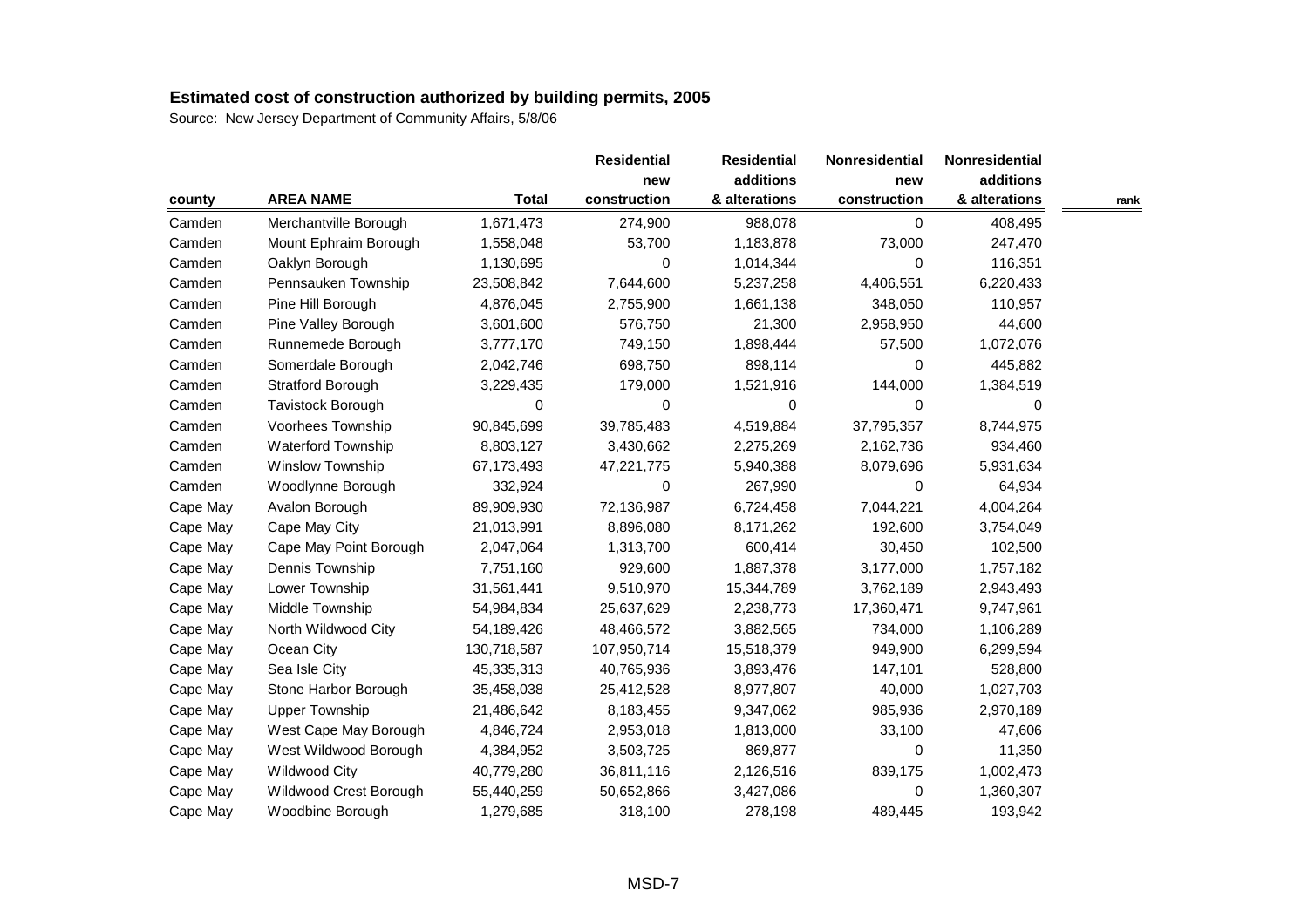|          |                        |              | <b>Residential</b> | <b>Residential</b> | Nonresidential | Nonresidential |      |
|----------|------------------------|--------------|--------------------|--------------------|----------------|----------------|------|
|          |                        |              | new                | additions          | new            | additions      |      |
| county   | <b>AREA NAME</b>       | <b>Total</b> | construction       | & alterations      | construction   | & alterations  | rank |
| Camden   | Merchantville Borough  | 1,671,473    | 274,900            | 988,078            | 0              | 408,495        |      |
| Camden   | Mount Ephraim Borough  | 1,558,048    | 53,700             | 1,183,878          | 73,000         | 247,470        |      |
| Camden   | Oaklyn Borough         | 1,130,695    | 0                  | 1,014,344          | 0              | 116,351        |      |
| Camden   | Pennsauken Township    | 23,508,842   | 7,644,600          | 5,237,258          | 4,406,551      | 6,220,433      |      |
| Camden   | Pine Hill Borough      | 4,876,045    | 2,755,900          | 1,661,138          | 348,050        | 110,957        |      |
| Camden   | Pine Valley Borough    | 3,601,600    | 576,750            | 21,300             | 2,958,950      | 44,600         |      |
| Camden   | Runnemede Borough      | 3,777,170    | 749,150            | 1,898,444          | 57,500         | 1,072,076      |      |
| Camden   | Somerdale Borough      | 2,042,746    | 698,750            | 898,114            | 0              | 445,882        |      |
| Camden   | Stratford Borough      | 3,229,435    | 179,000            | 1,521,916          | 144,000        | 1,384,519      |      |
| Camden   | Tavistock Borough      | 0            | 0                  | 0                  | 0              | 0              |      |
| Camden   | Voorhees Township      | 90,845,699   | 39,785,483         | 4,519,884          | 37,795,357     | 8,744,975      |      |
| Camden   | Waterford Township     | 8,803,127    | 3,430,662          | 2,275,269          | 2,162,736      | 934,460        |      |
| Camden   | Winslow Township       | 67,173,493   | 47,221,775         | 5,940,388          | 8,079,696      | 5,931,634      |      |
| Camden   | Woodlynne Borough      | 332,924      | 0                  | 267,990            | 0              | 64,934         |      |
| Cape May | Avalon Borough         | 89,909,930   | 72,136,987         | 6,724,458          | 7,044,221      | 4,004,264      |      |
| Cape May | Cape May City          | 21,013,991   | 8,896,080          | 8,171,262          | 192,600        | 3,754,049      |      |
| Cape May | Cape May Point Borough | 2,047,064    | 1,313,700          | 600,414            | 30,450         | 102,500        |      |
| Cape May | Dennis Township        | 7,751,160    | 929,600            | 1,887,378          | 3,177,000      | 1,757,182      |      |
| Cape May | Lower Township         | 31,561,441   | 9,510,970          | 15,344,789         | 3,762,189      | 2,943,493      |      |
| Cape May | Middle Township        | 54,984,834   | 25,637,629         | 2,238,773          | 17,360,471     | 9,747,961      |      |
| Cape May | North Wildwood City    | 54,189,426   | 48,466,572         | 3,882,565          | 734,000        | 1,106,289      |      |
| Cape May | Ocean City             | 130,718,587  | 107,950,714        | 15,518,379         | 949,900        | 6,299,594      |      |
| Cape May | Sea Isle City          | 45,335,313   | 40,765,936         | 3,893,476          | 147,101        | 528,800        |      |
| Cape May | Stone Harbor Borough   | 35,458,038   | 25,412,528         | 8,977,807          | 40,000         | 1,027,703      |      |
| Cape May | <b>Upper Township</b>  | 21,486,642   | 8,183,455          | 9,347,062          | 985,936        | 2,970,189      |      |
| Cape May | West Cape May Borough  | 4,846,724    | 2,953,018          | 1,813,000          | 33,100         | 47,606         |      |
| Cape May | West Wildwood Borough  | 4,384,952    | 3,503,725          | 869,877            | 0              | 11,350         |      |
| Cape May | <b>Wildwood City</b>   | 40,779,280   | 36,811,116         | 2,126,516          | 839,175        | 1,002,473      |      |
| Cape May | Wildwood Crest Borough | 55,440,259   | 50,652,866         | 3,427,086          | 0              | 1,360,307      |      |
| Cape May | Woodbine Borough       | 1,279,685    | 318,100            | 278,198            | 489,445        | 193,942        |      |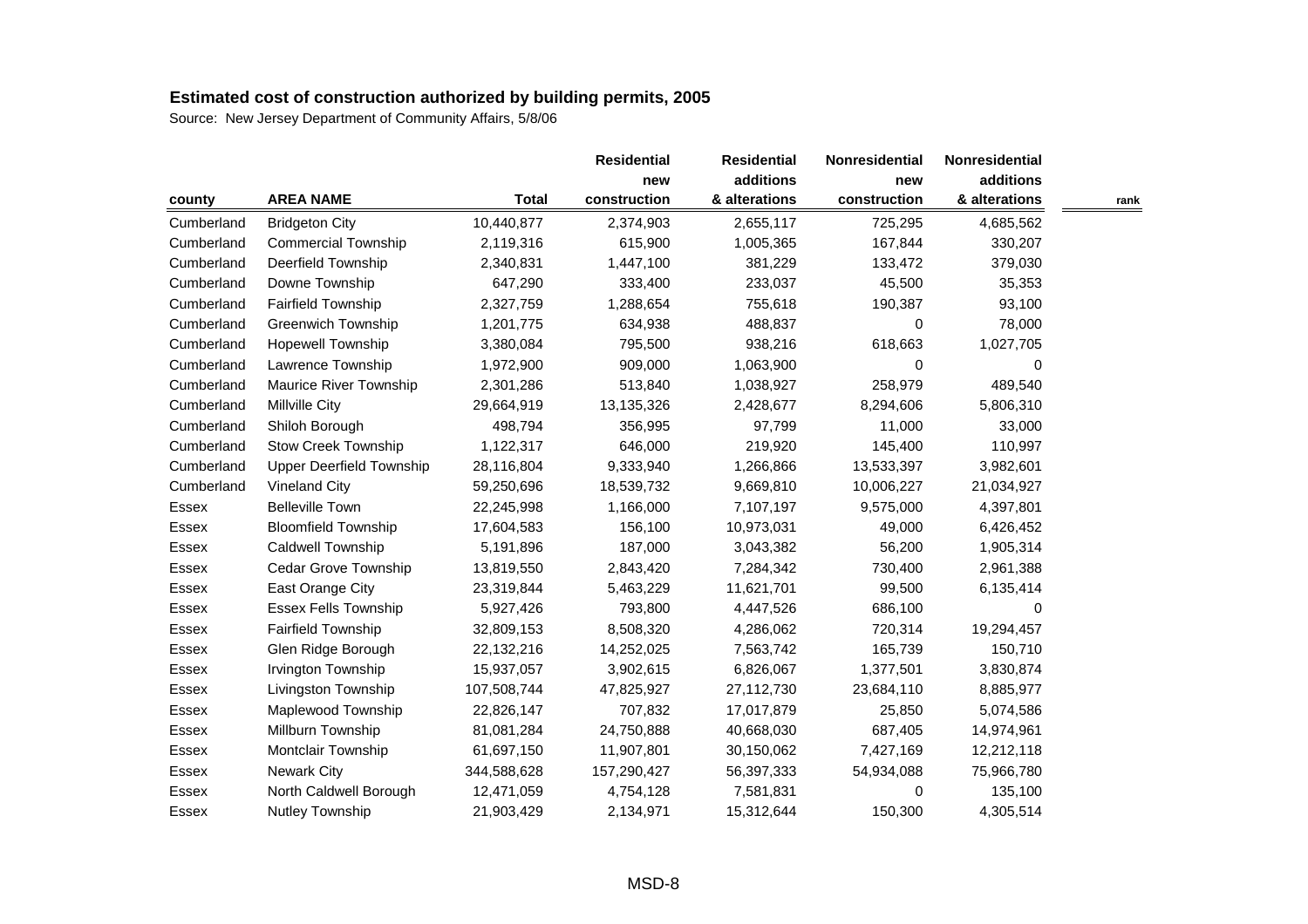|            |                                 |              | <b>Residential</b> | <b>Residential</b> | Nonresidential | Nonresidential |      |
|------------|---------------------------------|--------------|--------------------|--------------------|----------------|----------------|------|
|            |                                 |              | new                | additions          | new            | additions      |      |
| county     | <b>AREA NAME</b>                | <b>Total</b> | construction       | & alterations      | construction   | & alterations  | rank |
| Cumberland | <b>Bridgeton City</b>           | 10,440,877   | 2,374,903          | 2,655,117          | 725,295        | 4,685,562      |      |
| Cumberland | <b>Commercial Township</b>      | 2,119,316    | 615,900            | 1,005,365          | 167,844        | 330,207        |      |
| Cumberland | Deerfield Township              | 2,340,831    | 1,447,100          | 381,229            | 133,472        | 379,030        |      |
| Cumberland | Downe Township                  | 647,290      | 333,400            | 233,037            | 45,500         | 35,353         |      |
| Cumberland | Fairfield Township              | 2,327,759    | 1,288,654          | 755,618            | 190,387        | 93,100         |      |
| Cumberland | <b>Greenwich Township</b>       | 1,201,775    | 634,938            | 488,837            | 0              | 78,000         |      |
| Cumberland | <b>Hopewell Township</b>        | 3,380,084    | 795,500            | 938,216            | 618,663        | 1,027,705      |      |
| Cumberland | Lawrence Township               | 1,972,900    | 909,000            | 1,063,900          | 0              | 0              |      |
| Cumberland | <b>Maurice River Township</b>   | 2,301,286    | 513,840            | 1,038,927          | 258,979        | 489,540        |      |
| Cumberland | <b>Millville City</b>           | 29,664,919   | 13,135,326         | 2,428,677          | 8,294,606      | 5,806,310      |      |
| Cumberland | Shiloh Borough                  | 498,794      | 356,995            | 97,799             | 11,000         | 33,000         |      |
| Cumberland | <b>Stow Creek Township</b>      | 1,122,317    | 646,000            | 219,920            | 145,400        | 110,997        |      |
| Cumberland | <b>Upper Deerfield Township</b> | 28,116,804   | 9,333,940          | 1,266,866          | 13,533,397     | 3,982,601      |      |
| Cumberland | <b>Vineland City</b>            | 59,250,696   | 18,539,732         | 9,669,810          | 10,006,227     | 21,034,927     |      |
| Essex      | <b>Belleville Town</b>          | 22,245,998   | 1,166,000          | 7,107,197          | 9,575,000      | 4,397,801      |      |
| Essex      | <b>Bloomfield Township</b>      | 17,604,583   | 156,100            | 10,973,031         | 49,000         | 6,426,452      |      |
| Essex      | Caldwell Township               | 5,191,896    | 187,000            | 3,043,382          | 56,200         | 1,905,314      |      |
| Essex      | <b>Cedar Grove Township</b>     | 13,819,550   | 2,843,420          | 7,284,342          | 730,400        | 2,961,388      |      |
| Essex      | East Orange City                | 23,319,844   | 5,463,229          | 11,621,701         | 99,500         | 6,135,414      |      |
| Essex      | <b>Essex Fells Township</b>     | 5,927,426    | 793,800            | 4,447,526          | 686,100        | $\Omega$       |      |
| Essex      | <b>Fairfield Township</b>       | 32,809,153   | 8,508,320          | 4,286,062          | 720,314        | 19,294,457     |      |
| Essex      | Glen Ridge Borough              | 22,132,216   | 14,252,025         | 7,563,742          | 165,739        | 150,710        |      |
| Essex      | Irvington Township              | 15,937,057   | 3,902,615          | 6,826,067          | 1,377,501      | 3,830,874      |      |
| Essex      | Livingston Township             | 107,508,744  | 47,825,927         | 27,112,730         | 23,684,110     | 8,885,977      |      |
| Essex      | Maplewood Township              | 22,826,147   | 707,832            | 17,017,879         | 25,850         | 5,074,586      |      |
| Essex      | Millburn Township               | 81,081,284   | 24,750,888         | 40,668,030         | 687,405        | 14,974,961     |      |
| Essex      | Montclair Township              | 61,697,150   | 11,907,801         | 30,150,062         | 7,427,169      | 12,212,118     |      |
| Essex      | <b>Newark City</b>              | 344,588,628  | 157,290,427        | 56,397,333         | 54,934,088     | 75,966,780     |      |
| Essex      | North Caldwell Borough          | 12,471,059   | 4,754,128          | 7,581,831          | 0              | 135,100        |      |
| Essex      | Nutley Township                 | 21,903,429   | 2,134,971          | 15,312,644         | 150,300        | 4,305,514      |      |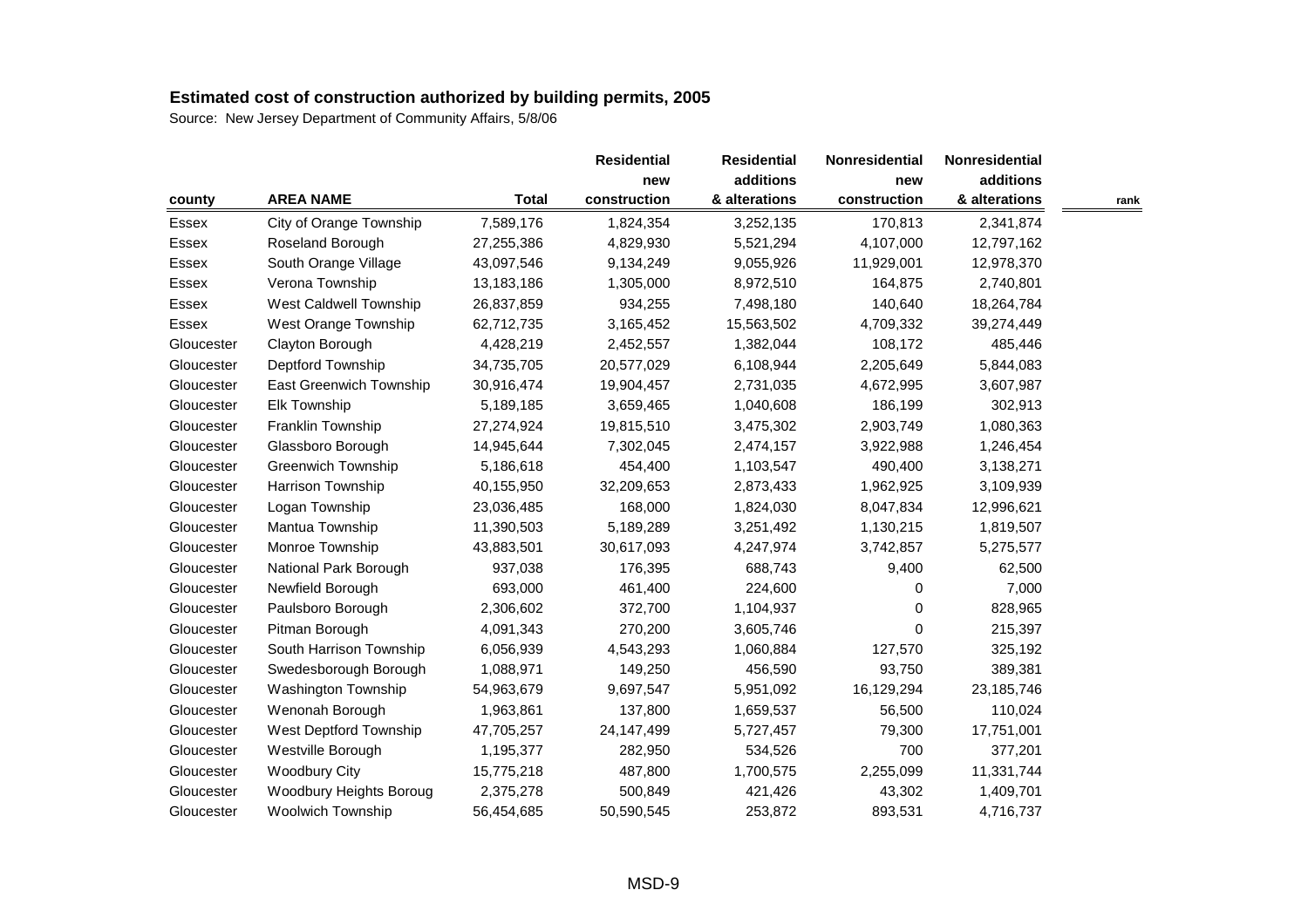|            |                           |              | <b>Residential</b> | <b>Residential</b> | <b>Nonresidential</b> | <b>Nonresidential</b> |      |
|------------|---------------------------|--------------|--------------------|--------------------|-----------------------|-----------------------|------|
|            |                           |              | new                | additions          | new                   | additions             |      |
| county     | <b>AREA NAME</b>          | <b>Total</b> | construction       | & alterations      | construction          | & alterations         | rank |
| Essex      | City of Orange Township   | 7,589,176    | 1,824,354          | 3,252,135          | 170,813               | 2,341,874             |      |
| Essex      | Roseland Borough          | 27,255,386   | 4,829,930          | 5,521,294          | 4,107,000             | 12,797,162            |      |
| Essex      | South Orange Village      | 43,097,546   | 9,134,249          | 9,055,926          | 11,929,001            | 12,978,370            |      |
| Essex      | Verona Township           | 13,183,186   | 1,305,000          | 8,972,510          | 164,875               | 2,740,801             |      |
| Essex      | West Caldwell Township    | 26,837,859   | 934,255            | 7,498,180          | 140,640               | 18,264,784            |      |
| Essex      | West Orange Township      | 62,712,735   | 3,165,452          | 15,563,502         | 4,709,332             | 39,274,449            |      |
| Gloucester | Clayton Borough           | 4,428,219    | 2,452,557          | 1,382,044          | 108,172               | 485,446               |      |
| Gloucester | Deptford Township         | 34,735,705   | 20,577,029         | 6,108,944          | 2,205,649             | 5,844,083             |      |
| Gloucester | East Greenwich Township   | 30,916,474   | 19,904,457         | 2,731,035          | 4,672,995             | 3,607,987             |      |
| Gloucester | Elk Township              | 5,189,185    | 3,659,465          | 1,040,608          | 186,199               | 302,913               |      |
| Gloucester | Franklin Township         | 27,274,924   | 19,815,510         | 3,475,302          | 2,903,749             | 1,080,363             |      |
| Gloucester | Glassboro Borough         | 14,945,644   | 7,302,045          | 2,474,157          | 3,922,988             | 1,246,454             |      |
| Gloucester | <b>Greenwich Township</b> | 5,186,618    | 454,400            | 1,103,547          | 490,400               | 3,138,271             |      |
| Gloucester | Harrison Township         | 40,155,950   | 32,209,653         | 2,873,433          | 1,962,925             | 3,109,939             |      |
| Gloucester | Logan Township            | 23,036,485   | 168,000            | 1,824,030          | 8,047,834             | 12,996,621            |      |
| Gloucester | Mantua Township           | 11,390,503   | 5,189,289          | 3,251,492          | 1,130,215             | 1,819,507             |      |
| Gloucester | Monroe Township           | 43,883,501   | 30,617,093         | 4,247,974          | 3,742,857             | 5,275,577             |      |
| Gloucester | National Park Borough     | 937,038      | 176,395            | 688,743            | 9,400                 | 62,500                |      |
| Gloucester | Newfield Borough          | 693,000      | 461,400            | 224,600            | 0                     | 7,000                 |      |
| Gloucester | Paulsboro Borough         | 2,306,602    | 372,700            | 1,104,937          | 0                     | 828,965               |      |
| Gloucester | Pitman Borough            | 4,091,343    | 270,200            | 3,605,746          | $\Omega$              | 215,397               |      |
| Gloucester | South Harrison Township   | 6,056,939    | 4,543,293          | 1,060,884          | 127,570               | 325,192               |      |
| Gloucester | Swedesborough Borough     | 1,088,971    | 149,250            | 456,590            | 93,750                | 389,381               |      |
| Gloucester | Washington Township       | 54,963,679   | 9,697,547          | 5,951,092          | 16,129,294            | 23,185,746            |      |
| Gloucester | Wenonah Borough           | 1,963,861    | 137,800            | 1,659,537          | 56,500                | 110,024               |      |
| Gloucester | West Deptford Township    | 47,705,257   | 24,147,499         | 5,727,457          | 79,300                | 17,751,001            |      |
| Gloucester | Westville Borough         | 1,195,377    | 282,950            | 534,526            | 700                   | 377,201               |      |
| Gloucester | <b>Woodbury City</b>      | 15,775,218   | 487,800            | 1,700,575          | 2,255,099             | 11,331,744            |      |
| Gloucester | Woodbury Heights Boroug   | 2,375,278    | 500,849            | 421,426            | 43,302                | 1,409,701             |      |
| Gloucester | <b>Woolwich Township</b>  | 56,454,685   | 50,590,545         | 253,872            | 893,531               | 4,716,737             |      |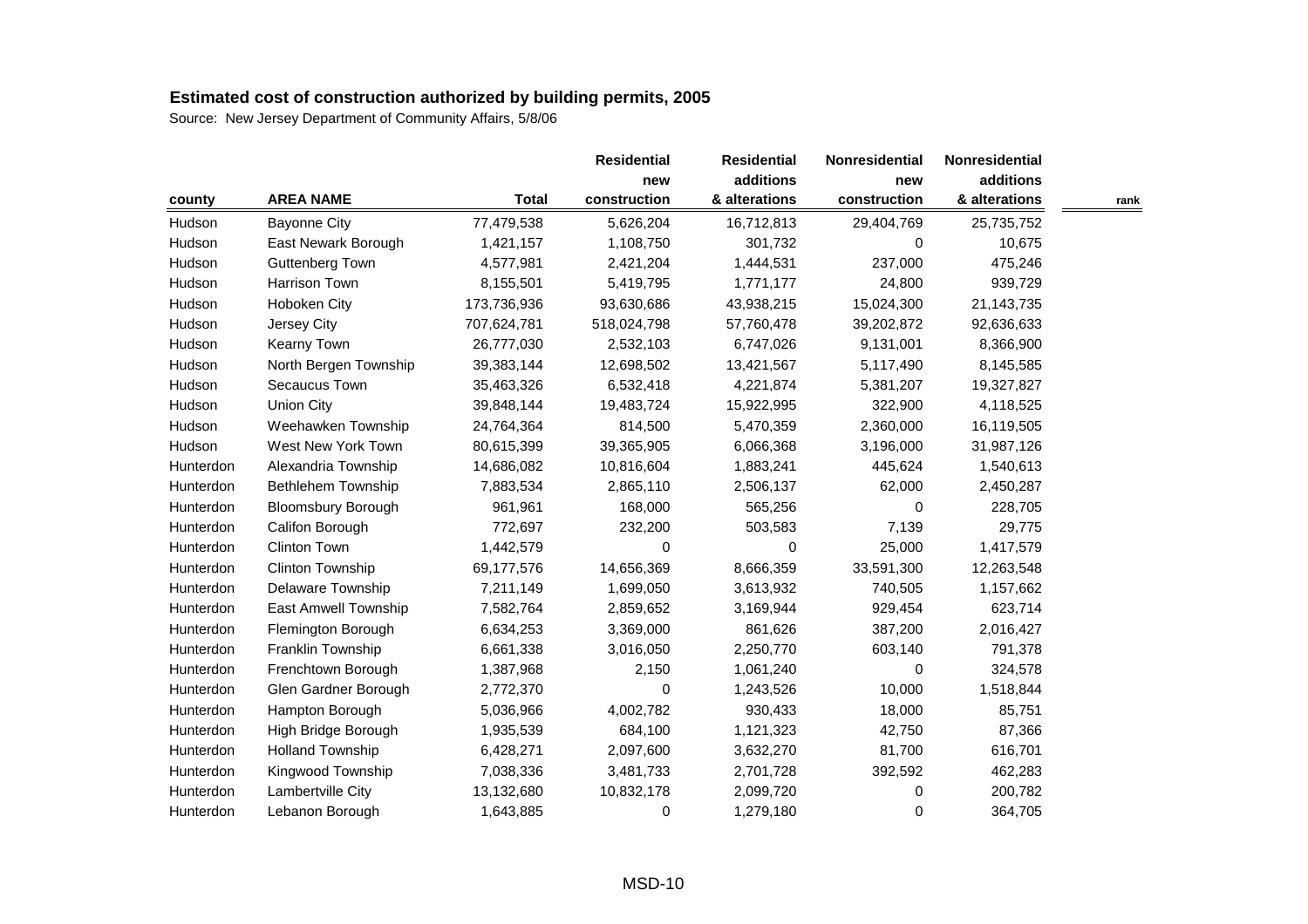|           |                           |              | <b>Residential</b> | <b>Residential</b> | <b>Nonresidential</b> | Nonresidential |      |
|-----------|---------------------------|--------------|--------------------|--------------------|-----------------------|----------------|------|
|           |                           |              | new                | additions          | new                   | additions      |      |
| county    | <b>AREA NAME</b>          | <b>Total</b> | construction       | & alterations      | construction          | & alterations  | rank |
| Hudson    | <b>Bayonne City</b>       | 77,479,538   | 5,626,204          | 16,712,813         | 29,404,769            | 25,735,752     |      |
| Hudson    | East Newark Borough       | 1,421,157    | 1,108,750          | 301,732            | 0                     | 10,675         |      |
| Hudson    | Guttenberg Town           | 4,577,981    | 2,421,204          | 1,444,531          | 237,000               | 475,246        |      |
| Hudson    | Harrison Town             | 8,155,501    | 5,419,795          | 1,771,177          | 24,800                | 939,729        |      |
| Hudson    | Hoboken City              | 173,736,936  | 93,630,686         | 43,938,215         | 15,024,300            | 21, 143, 735   |      |
| Hudson    | Jersey City               | 707,624,781  | 518,024,798        | 57,760,478         | 39,202,872            | 92,636,633     |      |
| Hudson    | Kearny Town               | 26,777,030   | 2,532,103          | 6,747,026          | 9,131,001             | 8,366,900      |      |
| Hudson    | North Bergen Township     | 39,383,144   | 12,698,502         | 13,421,567         | 5,117,490             | 8,145,585      |      |
| Hudson    | Secaucus Town             | 35,463,326   | 6,532,418          | 4,221,874          | 5,381,207             | 19,327,827     |      |
| Hudson    | <b>Union City</b>         | 39,848,144   | 19,483,724         | 15,922,995         | 322,900               | 4,118,525      |      |
| Hudson    | Weehawken Township        | 24,764,364   | 814,500            | 5,470,359          | 2,360,000             | 16,119,505     |      |
| Hudson    | West New York Town        | 80,615,399   | 39,365,905         | 6,066,368          | 3,196,000             | 31,987,126     |      |
| Hunterdon | Alexandria Township       | 14,686,082   | 10,816,604         | 1,883,241          | 445,624               | 1,540,613      |      |
| Hunterdon | Bethlehem Township        | 7,883,534    | 2,865,110          | 2,506,137          | 62,000                | 2,450,287      |      |
| Hunterdon | <b>Bloomsbury Borough</b> | 961,961      | 168,000            | 565,256            | 0                     | 228,705        |      |
| Hunterdon | Califon Borough           | 772,697      | 232,200            | 503,583            | 7,139                 | 29,775         |      |
| Hunterdon | <b>Clinton Town</b>       | 1,442,579    | 0                  | 0                  | 25,000                | 1,417,579      |      |
| Hunterdon | Clinton Township          | 69,177,576   | 14,656,369         | 8,666,359          | 33,591,300            | 12,263,548     |      |
| Hunterdon | Delaware Township         | 7,211,149    | 1,699,050          | 3,613,932          | 740,505               | 1,157,662      |      |
| Hunterdon | East Amwell Township      | 7,582,764    | 2,859,652          | 3,169,944          | 929,454               | 623,714        |      |
| Hunterdon | Flemington Borough        | 6,634,253    | 3,369,000          | 861,626            | 387,200               | 2,016,427      |      |
| Hunterdon | Franklin Township         | 6,661,338    | 3,016,050          | 2,250,770          | 603,140               | 791,378        |      |
| Hunterdon | Frenchtown Borough        | 1,387,968    | 2,150              | 1,061,240          | 0                     | 324,578        |      |
| Hunterdon | Glen Gardner Borough      | 2,772,370    | 0                  | 1,243,526          | 10,000                | 1,518,844      |      |
| Hunterdon | Hampton Borough           | 5,036,966    | 4,002,782          | 930,433            | 18,000                | 85,751         |      |
| Hunterdon | High Bridge Borough       | 1,935,539    | 684,100            | 1,121,323          | 42,750                | 87,366         |      |
| Hunterdon | <b>Holland Township</b>   | 6,428,271    | 2,097,600          | 3,632,270          | 81,700                | 616,701        |      |
| Hunterdon | Kingwood Township         | 7,038,336    | 3,481,733          | 2,701,728          | 392,592               | 462,283        |      |
| Hunterdon | Lambertville City         | 13,132,680   | 10,832,178         | 2,099,720          | 0                     | 200,782        |      |
| Hunterdon | Lebanon Borough           | 1,643,885    | 0                  | 1,279,180          | 0                     | 364,705        |      |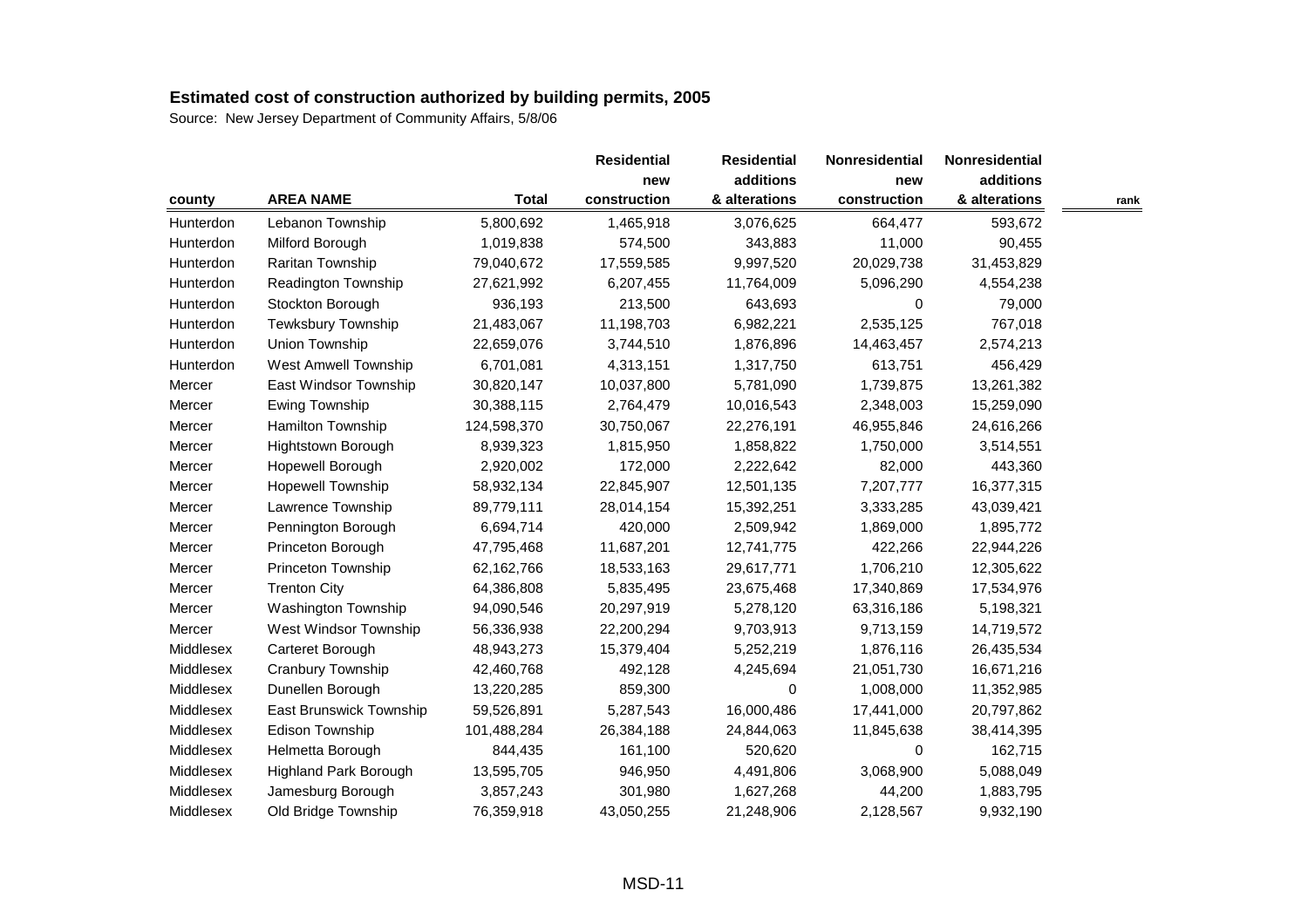|           |                                |              | <b>Residential</b> | <b>Residential</b> | Nonresidential | Nonresidential |      |
|-----------|--------------------------------|--------------|--------------------|--------------------|----------------|----------------|------|
|           |                                |              | new                | additions          | new            | additions      |      |
| county    | <b>AREA NAME</b>               | <b>Total</b> | construction       | & alterations      | construction   | & alterations  | rank |
| Hunterdon | Lebanon Township               | 5,800,692    | 1,465,918          | 3,076,625          | 664,477        | 593,672        |      |
| Hunterdon | Milford Borough                | 1,019,838    | 574,500            | 343,883            | 11,000         | 90,455         |      |
| Hunterdon | Raritan Township               | 79,040,672   | 17,559,585         | 9,997,520          | 20,029,738     | 31,453,829     |      |
| Hunterdon | Readington Township            | 27,621,992   | 6,207,455          | 11,764,009         | 5,096,290      | 4,554,238      |      |
| Hunterdon | Stockton Borough               | 936,193      | 213,500            | 643,693            | 0              | 79,000         |      |
| Hunterdon | Tewksbury Township             | 21,483,067   | 11,198,703         | 6,982,221          | 2,535,125      | 767,018        |      |
| Hunterdon | Union Township                 | 22,659,076   | 3,744,510          | 1,876,896          | 14,463,457     | 2,574,213      |      |
| Hunterdon | West Amwell Township           | 6,701,081    | 4,313,151          | 1,317,750          | 613,751        | 456,429        |      |
| Mercer    | East Windsor Township          | 30,820,147   | 10,037,800         | 5,781,090          | 1,739,875      | 13,261,382     |      |
| Mercer    | Ewing Township                 | 30,388,115   | 2,764,479          | 10,016,543         | 2,348,003      | 15,259,090     |      |
| Mercer    | Hamilton Township              | 124,598,370  | 30,750,067         | 22,276,191         | 46,955,846     | 24,616,266     |      |
| Mercer    | Hightstown Borough             | 8,939,323    | 1,815,950          | 1,858,822          | 1,750,000      | 3,514,551      |      |
| Mercer    | Hopewell Borough               | 2,920,002    | 172,000            | 2,222,642          | 82,000         | 443,360        |      |
| Mercer    | Hopewell Township              | 58,932,134   | 22,845,907         | 12,501,135         | 7,207,777      | 16,377,315     |      |
| Mercer    | Lawrence Township              | 89,779,111   | 28,014,154         | 15,392,251         | 3,333,285      | 43,039,421     |      |
| Mercer    | Pennington Borough             | 6,694,714    | 420,000            | 2,509,942          | 1,869,000      | 1,895,772      |      |
| Mercer    | Princeton Borough              | 47,795,468   | 11,687,201         | 12,741,775         | 422,266        | 22,944,226     |      |
| Mercer    | Princeton Township             | 62,162,766   | 18,533,163         | 29,617,771         | 1,706,210      | 12,305,622     |      |
| Mercer    | <b>Trenton City</b>            | 64,386,808   | 5,835,495          | 23,675,468         | 17,340,869     | 17,534,976     |      |
| Mercer    | Washington Township            | 94,090,546   | 20,297,919         | 5,278,120          | 63,316,186     | 5,198,321      |      |
| Mercer    | West Windsor Township          | 56,336,938   | 22,200,294         | 9,703,913          | 9,713,159      | 14,719,572     |      |
| Middlesex | Carteret Borough               | 48,943,273   | 15,379,404         | 5,252,219          | 1,876,116      | 26,435,534     |      |
| Middlesex | Cranbury Township              | 42,460,768   | 492,128            | 4,245,694          | 21,051,730     | 16,671,216     |      |
| Middlesex | Dunellen Borough               | 13,220,285   | 859,300            | $\Omega$           | 1,008,000      | 11,352,985     |      |
| Middlesex | <b>East Brunswick Township</b> | 59,526,891   | 5,287,543          | 16,000,486         | 17,441,000     | 20,797,862     |      |
| Middlesex | Edison Township                | 101,488,284  | 26,384,188         | 24,844,063         | 11,845,638     | 38,414,395     |      |
| Middlesex | Helmetta Borough               | 844,435      | 161,100            | 520,620            | 0              | 162,715        |      |
| Middlesex | <b>Highland Park Borough</b>   | 13,595,705   | 946,950            | 4,491,806          | 3,068,900      | 5,088,049      |      |
| Middlesex | Jamesburg Borough              | 3,857,243    | 301,980            | 1,627,268          | 44,200         | 1,883,795      |      |
| Middlesex | Old Bridge Township            | 76,359,918   | 43,050,255         | 21,248,906         | 2,128,567      | 9,932,190      |      |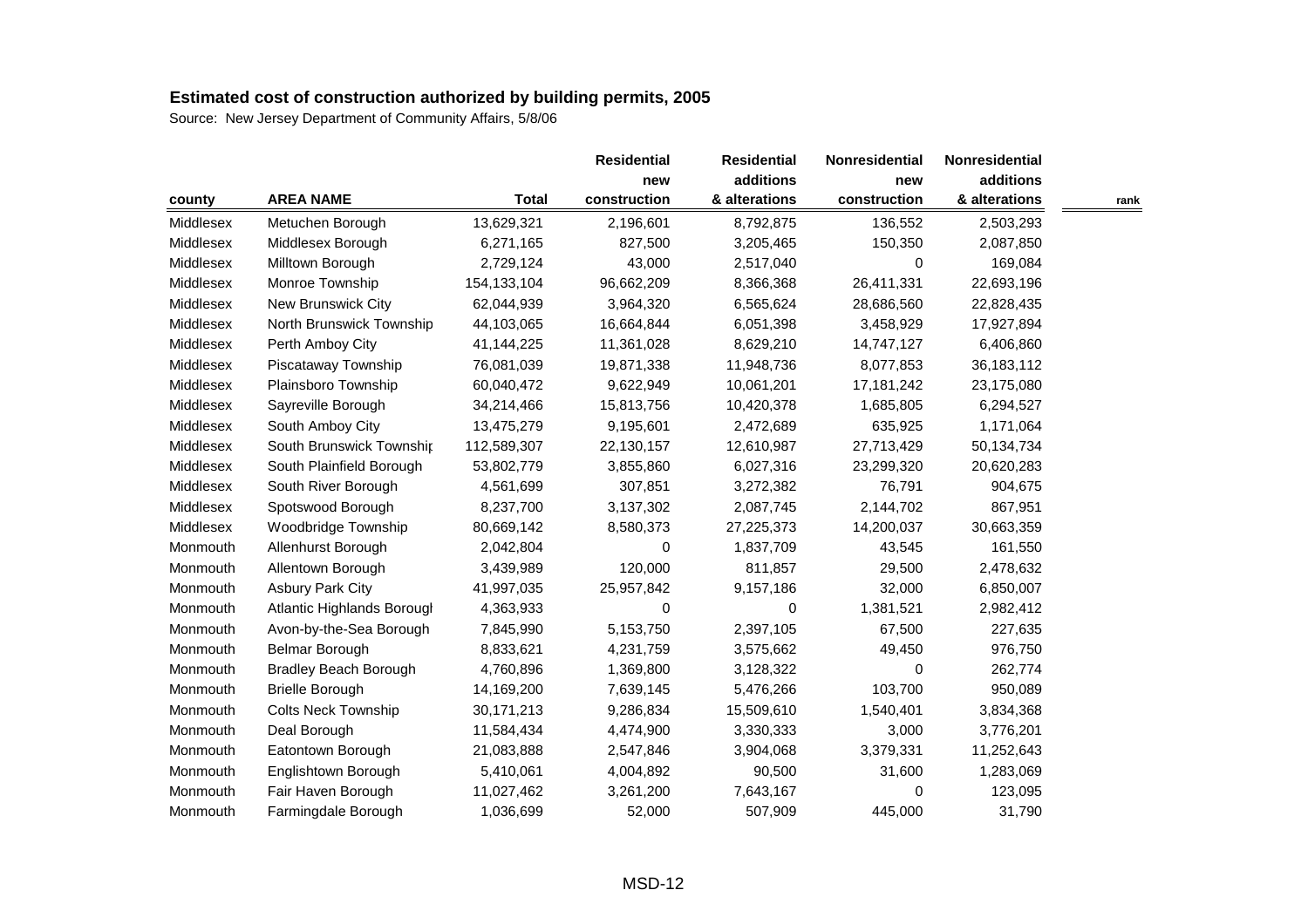|           |                              |               | <b>Residential</b> | <b>Residential</b> | Nonresidential | <b>Nonresidential</b> |      |
|-----------|------------------------------|---------------|--------------------|--------------------|----------------|-----------------------|------|
|           |                              |               | new                | additions          | new            | additions             |      |
| county    | <b>AREA NAME</b>             | <b>Total</b>  | construction       | & alterations      | construction   | & alterations         | rank |
| Middlesex | Metuchen Borough             | 13,629,321    | 2,196,601          | 8,792,875          | 136,552        | 2,503,293             |      |
| Middlesex | Middlesex Borough            | 6,271,165     | 827,500            | 3,205,465          | 150,350        | 2,087,850             |      |
| Middlesex | Milltown Borough             | 2,729,124     | 43,000             | 2,517,040          | 0              | 169,084               |      |
| Middlesex | Monroe Township              | 154, 133, 104 | 96,662,209         | 8,366,368          | 26,411,331     | 22,693,196            |      |
| Middlesex | New Brunswick City           | 62,044,939    | 3,964,320          | 6,565,624          | 28,686,560     | 22,828,435            |      |
| Middlesex | North Brunswick Township     | 44,103,065    | 16,664,844         | 6,051,398          | 3,458,929      | 17,927,894            |      |
| Middlesex | Perth Amboy City             | 41,144,225    | 11,361,028         | 8,629,210          | 14,747,127     | 6,406,860             |      |
| Middlesex | Piscataway Township          | 76,081,039    | 19,871,338         | 11,948,736         | 8,077,853      | 36,183,112            |      |
| Middlesex | Plainsboro Township          | 60,040,472    | 9,622,949          | 10,061,201         | 17, 181, 242   | 23,175,080            |      |
| Middlesex | Sayreville Borough           | 34,214,466    | 15,813,756         | 10,420,378         | 1,685,805      | 6,294,527             |      |
| Middlesex | South Amboy City             | 13,475,279    | 9,195,601          | 2,472,689          | 635,925        | 1,171,064             |      |
| Middlesex | South Brunswick Township     | 112,589,307   | 22,130,157         | 12,610,987         | 27,713,429     | 50,134,734            |      |
| Middlesex | South Plainfield Borough     | 53,802,779    | 3,855,860          | 6,027,316          | 23,299,320     | 20,620,283            |      |
| Middlesex | South River Borough          | 4,561,699     | 307,851            | 3,272,382          | 76,791         | 904,675               |      |
| Middlesex | Spotswood Borough            | 8,237,700     | 3,137,302          | 2,087,745          | 2,144,702      | 867,951               |      |
| Middlesex | Woodbridge Township          | 80,669,142    | 8,580,373          | 27,225,373         | 14,200,037     | 30,663,359            |      |
| Monmouth  | Allenhurst Borough           | 2,042,804     | 0                  | 1,837,709          | 43,545         | 161,550               |      |
| Monmouth  | Allentown Borough            | 3,439,989     | 120,000            | 811,857            | 29,500         | 2,478,632             |      |
| Monmouth  | <b>Asbury Park City</b>      | 41,997,035    | 25,957,842         | 9,157,186          | 32,000         | 6,850,007             |      |
| Monmouth  | Atlantic Highlands Borougl   | 4,363,933     | $\Omega$           | $\Omega$           | 1,381,521      | 2,982,412             |      |
| Monmouth  | Avon-by-the-Sea Borough      | 7,845,990     | 5,153,750          | 2,397,105          | 67,500         | 227,635               |      |
| Monmouth  | Belmar Borough               | 8,833,621     | 4,231,759          | 3,575,662          | 49,450         | 976,750               |      |
| Monmouth  | <b>Bradley Beach Borough</b> | 4,760,896     | 1,369,800          | 3,128,322          | 0              | 262,774               |      |
| Monmouth  | <b>Brielle Borough</b>       | 14,169,200    | 7,639,145          | 5,476,266          | 103,700        | 950,089               |      |
| Monmouth  | <b>Colts Neck Township</b>   | 30,171,213    | 9,286,834          | 15,509,610         | 1,540,401      | 3,834,368             |      |
| Monmouth  | Deal Borough                 | 11,584,434    | 4,474,900          | 3,330,333          | 3,000          | 3,776,201             |      |
| Monmouth  | Eatontown Borough            | 21,083,888    | 2,547,846          | 3,904,068          | 3,379,331      | 11,252,643            |      |
| Monmouth  | Englishtown Borough          | 5,410,061     | 4,004,892          | 90,500             | 31,600         | 1,283,069             |      |
| Monmouth  | Fair Haven Borough           | 11,027,462    | 3,261,200          | 7,643,167          | 0              | 123,095               |      |
| Monmouth  | Farmingdale Borough          | 1,036,699     | 52,000             | 507,909            | 445,000        | 31,790                |      |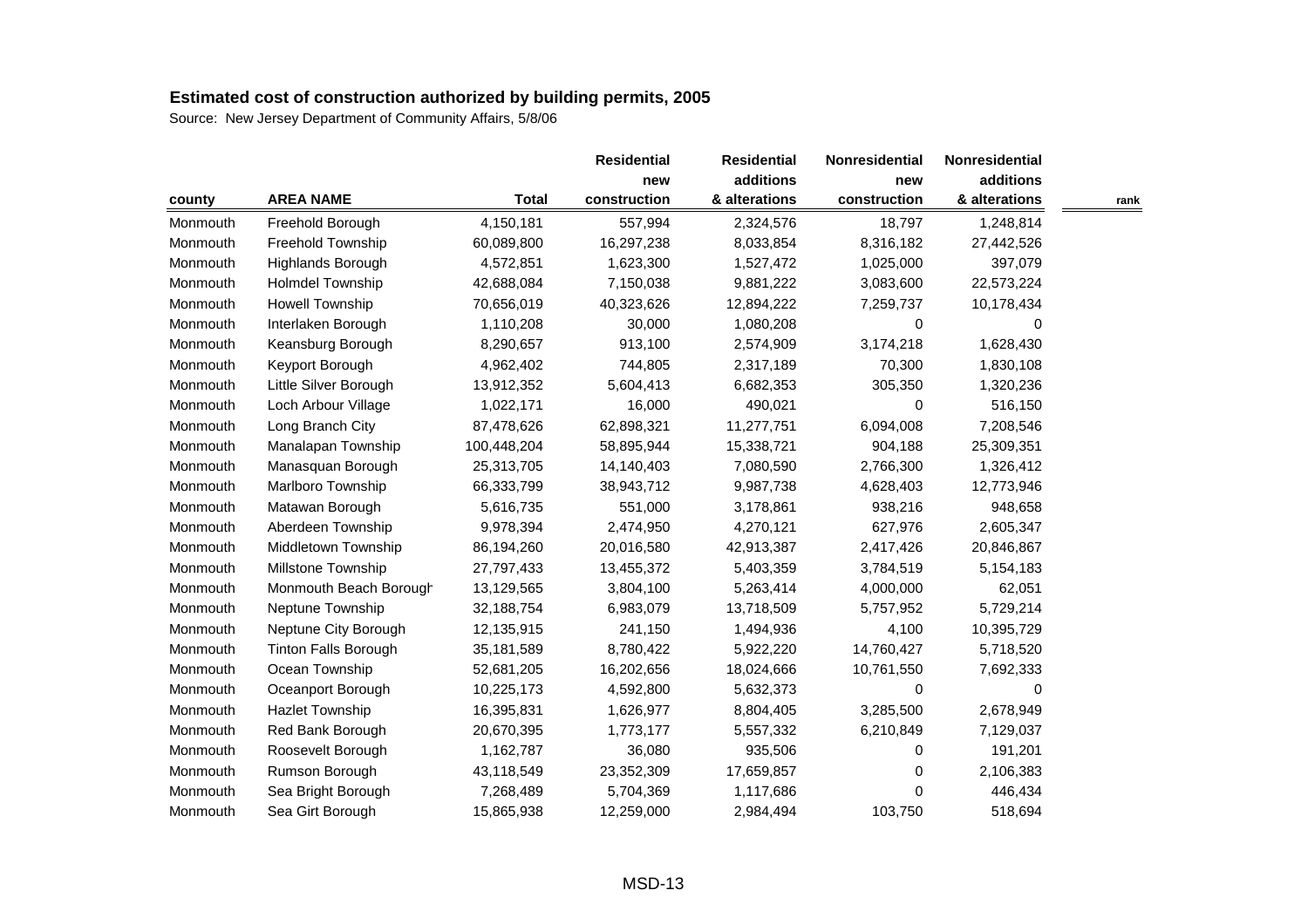| county   |                             |              |              | <b>Residential</b> | Nonresidential | Nonresidential |      |
|----------|-----------------------------|--------------|--------------|--------------------|----------------|----------------|------|
|          |                             |              | new          | additions          | new            | additions      |      |
|          | <b>AREA NAME</b>            | <b>Total</b> | construction | & alterations      | construction   | & alterations  | rank |
| Monmouth | Freehold Borough            | 4,150,181    | 557,994      | 2,324,576          | 18,797         | 1,248,814      |      |
| Monmouth | Freehold Township           | 60,089,800   | 16,297,238   | 8,033,854          | 8,316,182      | 27,442,526     |      |
| Monmouth | Highlands Borough           | 4,572,851    | 1,623,300    | 1,527,472          | 1,025,000      | 397,079        |      |
| Monmouth | <b>Holmdel Township</b>     | 42,688,084   | 7,150,038    | 9,881,222          | 3,083,600      | 22,573,224     |      |
| Monmouth | Howell Township             | 70,656,019   | 40,323,626   | 12,894,222         | 7,259,737      | 10,178,434     |      |
| Monmouth | Interlaken Borough          | 1,110,208    | 30,000       | 1,080,208          | $\Omega$       | $\Omega$       |      |
| Monmouth | Keansburg Borough           | 8,290,657    | 913,100      | 2,574,909          | 3,174,218      | 1,628,430      |      |
| Monmouth | Keyport Borough             | 4,962,402    | 744,805      | 2,317,189          | 70,300         | 1,830,108      |      |
| Monmouth | Little Silver Borough       | 13,912,352   | 5,604,413    | 6,682,353          | 305,350        | 1,320,236      |      |
| Monmouth | Loch Arbour Village         | 1,022,171    | 16,000       | 490,021            | 0              | 516,150        |      |
| Monmouth | Long Branch City            | 87,478,626   | 62,898,321   | 11,277,751         | 6,094,008      | 7,208,546      |      |
| Monmouth | Manalapan Township          | 100,448,204  | 58,895,944   | 15,338,721         | 904,188        | 25,309,351     |      |
| Monmouth | Manasquan Borough           | 25,313,705   | 14,140,403   | 7,080,590          | 2,766,300      | 1,326,412      |      |
| Monmouth | Marlboro Township           | 66,333,799   | 38,943,712   | 9,987,738          | 4,628,403      | 12,773,946     |      |
| Monmouth | Matawan Borough             | 5,616,735    | 551,000      | 3,178,861          | 938,216        | 948,658        |      |
| Monmouth | Aberdeen Township           | 9,978,394    | 2,474,950    | 4,270,121          | 627,976        | 2,605,347      |      |
| Monmouth | Middletown Township         | 86,194,260   | 20,016,580   | 42,913,387         | 2,417,426      | 20,846,867     |      |
| Monmouth | Millstone Township          | 27,797,433   | 13,455,372   | 5,403,359          | 3,784,519      | 5,154,183      |      |
| Monmouth | Monmouth Beach Borough      | 13,129,565   | 3,804,100    | 5,263,414          | 4,000,000      | 62,051         |      |
| Monmouth | Neptune Township            | 32,188,754   | 6,983,079    | 13,718,509         | 5,757,952      | 5,729,214      |      |
| Monmouth | Neptune City Borough        | 12,135,915   | 241,150      | 1,494,936          | 4,100          | 10,395,729     |      |
| Monmouth | <b>Tinton Falls Borough</b> | 35,181,589   | 8,780,422    | 5,922,220          | 14,760,427     | 5,718,520      |      |
| Monmouth | Ocean Township              | 52,681,205   | 16,202,656   | 18,024,666         | 10,761,550     | 7,692,333      |      |
| Monmouth | Oceanport Borough           | 10,225,173   | 4,592,800    | 5,632,373          | 0              | 0              |      |
| Monmouth | <b>Hazlet Township</b>      | 16,395,831   | 1,626,977    | 8,804,405          | 3,285,500      | 2,678,949      |      |
| Monmouth | Red Bank Borough            | 20,670,395   | 1,773,177    | 5,557,332          | 6,210,849      | 7,129,037      |      |
| Monmouth | Roosevelt Borough           | 1,162,787    | 36,080       | 935,506            | 0              | 191,201        |      |
| Monmouth | Rumson Borough              | 43,118,549   | 23,352,309   | 17,659,857         | 0              | 2,106,383      |      |
| Monmouth | Sea Bright Borough          | 7,268,489    | 5,704,369    | 1,117,686          | 0              | 446,434        |      |
| Monmouth | Sea Girt Borough            | 15,865,938   | 12,259,000   | 2,984,494          | 103,750        | 518,694        |      |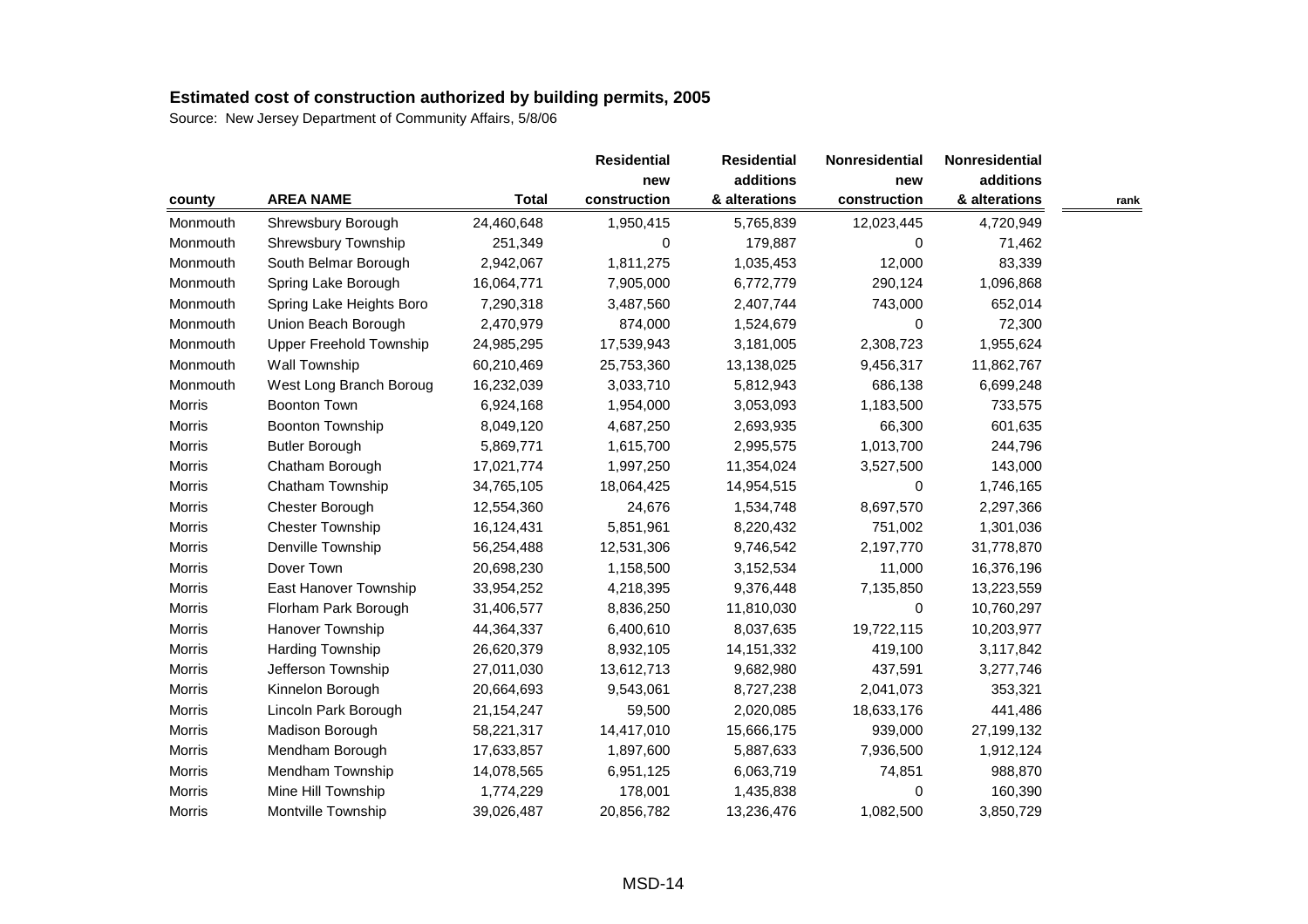| county   |                                |              |              | <b>Residential</b> | Nonresidential | Nonresidential |      |
|----------|--------------------------------|--------------|--------------|--------------------|----------------|----------------|------|
|          |                                |              | new          | additions          | new            | additions      |      |
|          | <b>AREA NAME</b>               | <b>Total</b> | construction | & alterations      | construction   | & alterations  | rank |
| Monmouth | Shrewsbury Borough             | 24,460,648   | 1,950,415    | 5,765,839          | 12,023,445     | 4,720,949      |      |
| Monmouth | Shrewsbury Township            | 251,349      | 0            | 179,887            | 0              | 71,462         |      |
| Monmouth | South Belmar Borough           | 2,942,067    | 1,811,275    | 1,035,453          | 12,000         | 83,339         |      |
| Monmouth | Spring Lake Borough            | 16,064,771   | 7,905,000    | 6,772,779          | 290,124        | 1,096,868      |      |
| Monmouth | Spring Lake Heights Boro       | 7,290,318    | 3,487,560    | 2,407,744          | 743,000        | 652,014        |      |
| Monmouth | Union Beach Borough            | 2,470,979    | 874,000      | 1,524,679          | 0              | 72,300         |      |
| Monmouth | <b>Upper Freehold Township</b> | 24,985,295   | 17,539,943   | 3,181,005          | 2,308,723      | 1,955,624      |      |
| Monmouth | Wall Township                  | 60,210,469   | 25,753,360   | 13,138,025         | 9,456,317      | 11,862,767     |      |
| Monmouth | West Long Branch Boroug        | 16,232,039   | 3,033,710    | 5,812,943          | 686,138        | 6,699,248      |      |
| Morris   | <b>Boonton Town</b>            | 6,924,168    | 1,954,000    | 3,053,093          | 1,183,500      | 733,575        |      |
| Morris   | <b>Boonton Township</b>        | 8,049,120    | 4,687,250    | 2,693,935          | 66,300         | 601,635        |      |
| Morris   | <b>Butler Borough</b>          | 5,869,771    | 1,615,700    | 2,995,575          | 1,013,700      | 244,796        |      |
| Morris   | Chatham Borough                | 17,021,774   | 1,997,250    | 11,354,024         | 3,527,500      | 143,000        |      |
| Morris   | Chatham Township               | 34,765,105   | 18,064,425   | 14,954,515         | 0              | 1,746,165      |      |
| Morris   | Chester Borough                | 12,554,360   | 24,676       | 1,534,748          | 8,697,570      | 2,297,366      |      |
| Morris   | <b>Chester Township</b>        | 16,124,431   | 5,851,961    | 8,220,432          | 751,002        | 1,301,036      |      |
| Morris   | Denville Township              | 56,254,488   | 12,531,306   | 9,746,542          | 2,197,770      | 31,778,870     |      |
| Morris   | Dover Town                     | 20,698,230   | 1,158,500    | 3,152,534          | 11,000         | 16,376,196     |      |
| Morris   | East Hanover Township          | 33,954,252   | 4,218,395    | 9,376,448          | 7,135,850      | 13,223,559     |      |
| Morris   | Florham Park Borough           | 31,406,577   | 8,836,250    | 11,810,030         | $\Omega$       | 10,760,297     |      |
| Morris   | Hanover Township               | 44,364,337   | 6,400,610    | 8,037,635          | 19,722,115     | 10,203,977     |      |
| Morris   | Harding Township               | 26,620,379   | 8,932,105    | 14, 151, 332       | 419,100        | 3,117,842      |      |
| Morris   | Jefferson Township             | 27,011,030   | 13,612,713   | 9,682,980          | 437,591        | 3,277,746      |      |
| Morris   | Kinnelon Borough               | 20,664,693   | 9,543,061    | 8,727,238          | 2,041,073      | 353,321        |      |
| Morris   | Lincoln Park Borough           | 21, 154, 247 | 59,500       | 2,020,085          | 18,633,176     | 441,486        |      |
| Morris   | Madison Borough                | 58,221,317   | 14,417,010   | 15,666,175         | 939,000        | 27,199,132     |      |
| Morris   | Mendham Borough                | 17,633,857   | 1,897,600    | 5,887,633          | 7,936,500      | 1,912,124      |      |
| Morris   | Mendham Township               | 14,078,565   | 6,951,125    | 6,063,719          | 74,851         | 988,870        |      |
| Morris   | Mine Hill Township             | 1,774,229    | 178,001      | 1,435,838          | 0              | 160,390        |      |
| Morris   | Montville Township             | 39,026,487   | 20,856,782   | 13,236,476         | 1,082,500      | 3,850,729      |      |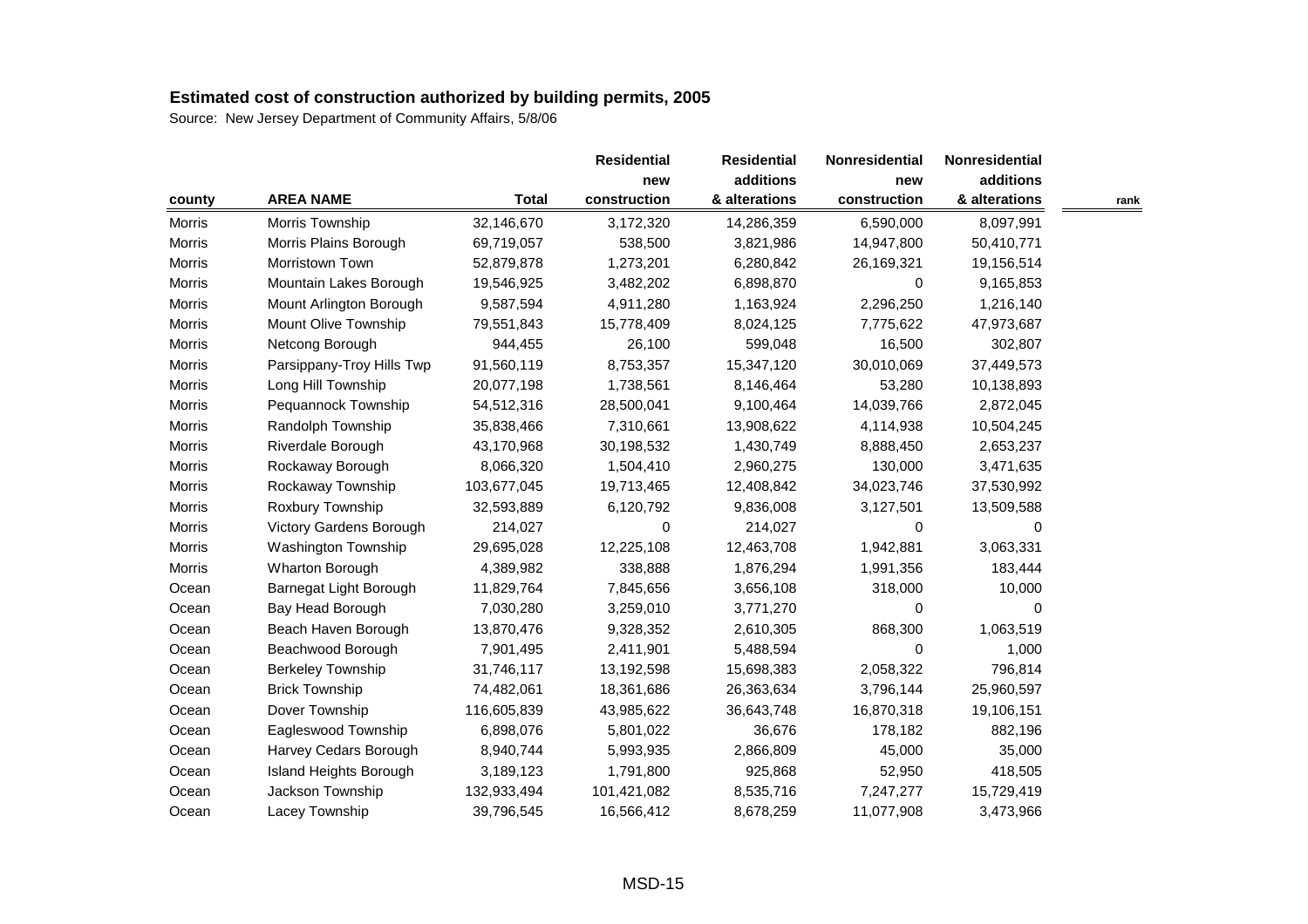| county        |                           |              | <b>Residential</b><br>new | <b>Residential</b> | Nonresidential | Nonresidential |      |
|---------------|---------------------------|--------------|---------------------------|--------------------|----------------|----------------|------|
|               |                           |              |                           | additions          | new            | additions      |      |
|               | <b>AREA NAME</b>          | <b>Total</b> | construction              | & alterations      | construction   | & alterations  | rank |
| Morris        | Morris Township           | 32,146,670   | 3,172,320                 | 14,286,359         | 6,590,000      | 8,097,991      |      |
| <b>Morris</b> | Morris Plains Borough     | 69,719,057   | 538,500                   | 3,821,986          | 14,947,800     | 50,410,771     |      |
| Morris        | Morristown Town           | 52,879,878   | 1,273,201                 | 6,280,842          | 26,169,321     | 19,156,514     |      |
| <b>Morris</b> | Mountain Lakes Borough    | 19,546,925   | 3,482,202                 | 6,898,870          | 0              | 9,165,853      |      |
| <b>Morris</b> | Mount Arlington Borough   | 9,587,594    | 4,911,280                 | 1,163,924          | 2,296,250      | 1,216,140      |      |
| <b>Morris</b> | Mount Olive Township      | 79,551,843   | 15,778,409                | 8,024,125          | 7,775,622      | 47,973,687     |      |
| Morris        | Netcong Borough           | 944,455      | 26,100                    | 599,048            | 16,500         | 302,807        |      |
| Morris        | Parsippany-Troy Hills Twp | 91,560,119   | 8,753,357                 | 15,347,120         | 30,010,069     | 37,449,573     |      |
| Morris        | Long Hill Township        | 20,077,198   | 1,738,561                 | 8,146,464          | 53,280         | 10,138,893     |      |
| Morris        | Pequannock Township       | 54,512,316   | 28,500,041                | 9,100,464          | 14,039,766     | 2,872,045      |      |
| <b>Morris</b> | Randolph Township         | 35,838,466   | 7,310,661                 | 13,908,622         | 4,114,938      | 10,504,245     |      |
| Morris        | Riverdale Borough         | 43,170,968   | 30,198,532                | 1,430,749          | 8,888,450      | 2,653,237      |      |
| Morris        | Rockaway Borough          | 8,066,320    | 1,504,410                 | 2,960,275          | 130,000        | 3,471,635      |      |
| Morris        | Rockaway Township         | 103,677,045  | 19,713,465                | 12,408,842         | 34,023,746     | 37,530,992     |      |
| Morris        | Roxbury Township          | 32,593,889   | 6,120,792                 | 9,836,008          | 3,127,501      | 13,509,588     |      |
| <b>Morris</b> | Victory Gardens Borough   | 214,027      | 0                         | 214,027            | 0              | 0              |      |
| Morris        | Washington Township       | 29,695,028   | 12,225,108                | 12,463,708         | 1,942,881      | 3,063,331      |      |
| <b>Morris</b> | Wharton Borough           | 4,389,982    | 338,888                   | 1,876,294          | 1,991,356      | 183,444        |      |
| Ocean         | Barnegat Light Borough    | 11,829,764   | 7,845,656                 | 3,656,108          | 318,000        | 10,000         |      |
| Ocean         | Bay Head Borough          | 7,030,280    | 3,259,010                 | 3,771,270          | $\Omega$       | $\Omega$       |      |
| Ocean         | Beach Haven Borough       | 13,870,476   | 9,328,352                 | 2,610,305          | 868,300        | 1,063,519      |      |
| Ocean         | Beachwood Borough         | 7,901,495    | 2,411,901                 | 5,488,594          | 0              | 1,000          |      |
| Ocean         | Berkeley Township         | 31,746,117   | 13,192,598                | 15,698,383         | 2,058,322      | 796,814        |      |
| Ocean         | <b>Brick Township</b>     | 74,482,061   | 18,361,686                | 26,363,634         | 3,796,144      | 25,960,597     |      |
| Ocean         | Dover Township            | 116,605,839  | 43,985,622                | 36,643,748         | 16,870,318     | 19,106,151     |      |
| Ocean         | Eagleswood Township       | 6,898,076    | 5,801,022                 | 36,676             | 178,182        | 882,196        |      |
| Ocean         | Harvey Cedars Borough     | 8,940,744    | 5,993,935                 | 2,866,809          | 45,000         | 35,000         |      |
| Ocean         | Island Heights Borough    | 3,189,123    | 1,791,800                 | 925,868            | 52,950         | 418,505        |      |
| Ocean         | Jackson Township          | 132,933,494  | 101,421,082               | 8,535,716          | 7,247,277      | 15,729,419     |      |
| Ocean         | Lacey Township            | 39,796,545   | 16,566,412                | 8,678,259          | 11,077,908     | 3,473,966      |      |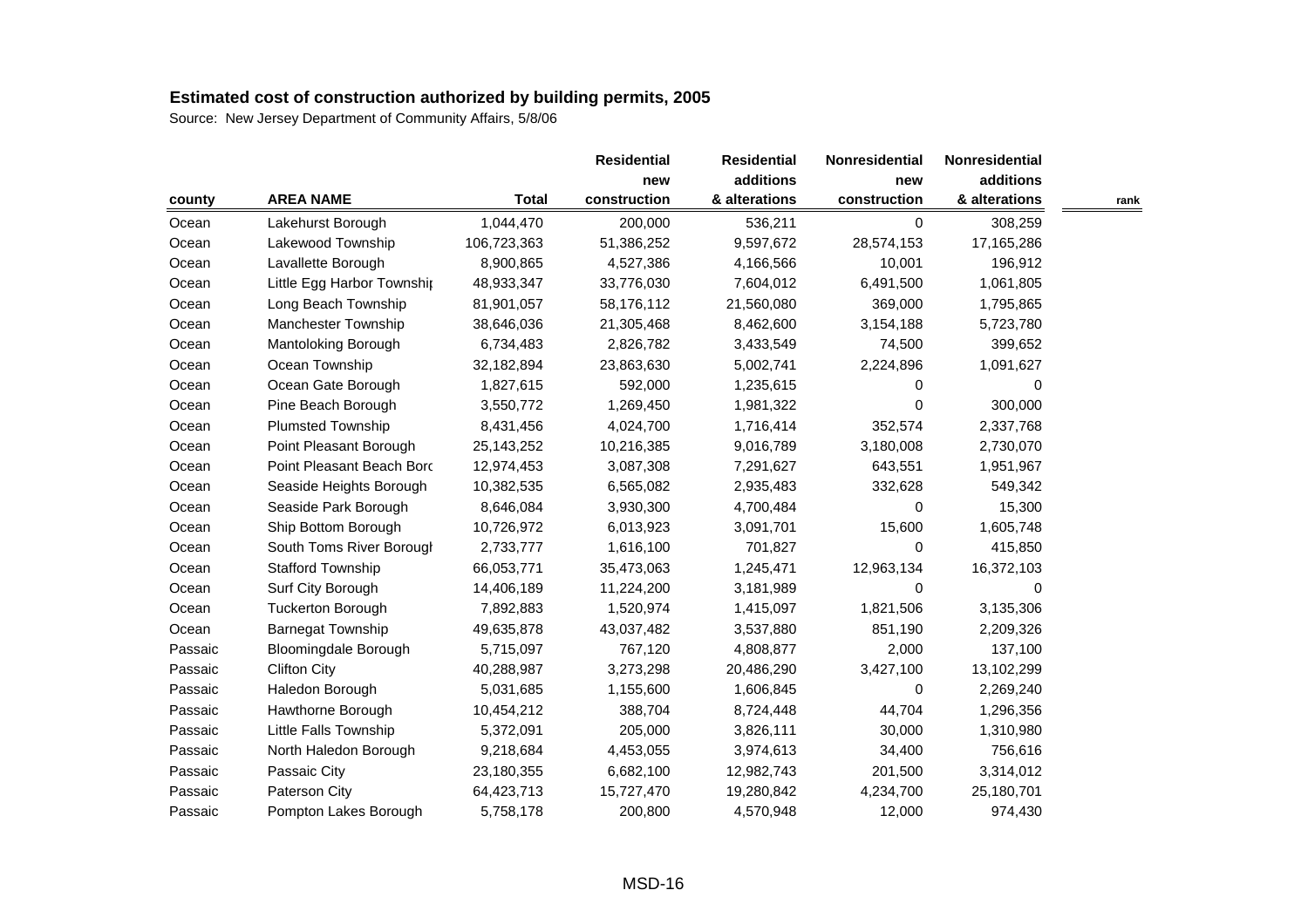| county  |                             |              |              | <b>Residential</b> | Nonresidential | Nonresidential |      |
|---------|-----------------------------|--------------|--------------|--------------------|----------------|----------------|------|
|         |                             |              | new          | additions          | new            | additions      |      |
|         | <b>AREA NAME</b>            | <b>Total</b> | construction | & alterations      | construction   | & alterations  | rank |
| Ocean   | Lakehurst Borough           | 1,044,470    | 200,000      | 536,211            | 0              | 308,259        |      |
| Ocean   | Lakewood Township           | 106,723,363  | 51,386,252   | 9,597,672          | 28,574,153     | 17,165,286     |      |
| Ocean   | Lavallette Borough          | 8,900,865    | 4,527,386    | 4,166,566          | 10,001         | 196,912        |      |
| Ocean   | Little Egg Harbor Township  | 48,933,347   | 33,776,030   | 7,604,012          | 6,491,500      | 1,061,805      |      |
| Ocean   | Long Beach Township         | 81,901,057   | 58,176,112   | 21,560,080         | 369,000        | 1,795,865      |      |
| Ocean   | Manchester Township         | 38,646,036   | 21,305,468   | 8,462,600          | 3,154,188      | 5,723,780      |      |
| Ocean   | Mantoloking Borough         | 6,734,483    | 2,826,782    | 3,433,549          | 74,500         | 399,652        |      |
| Ocean   | Ocean Township              | 32,182,894   | 23,863,630   | 5,002,741          | 2,224,896      | 1,091,627      |      |
| Ocean   | Ocean Gate Borough          | 1,827,615    | 592,000      | 1,235,615          | 0              | 0              |      |
| Ocean   | Pine Beach Borough          | 3,550,772    | 1,269,450    | 1,981,322          | 0              | 300,000        |      |
| Ocean   | Plumsted Township           | 8,431,456    | 4,024,700    | 1,716,414          | 352,574        | 2,337,768      |      |
| Ocean   | Point Pleasant Borough      | 25, 143, 252 | 10,216,385   | 9,016,789          | 3,180,008      | 2,730,070      |      |
| Ocean   | Point Pleasant Beach Bord   | 12,974,453   | 3,087,308    | 7,291,627          | 643,551        | 1,951,967      |      |
| Ocean   | Seaside Heights Borough     | 10,382,535   | 6,565,082    | 2,935,483          | 332,628        | 549,342        |      |
| Ocean   | Seaside Park Borough        | 8,646,084    | 3,930,300    | 4,700,484          | 0              | 15,300         |      |
| Ocean   | Ship Bottom Borough         | 10,726,972   | 6,013,923    | 3,091,701          | 15,600         | 1,605,748      |      |
| Ocean   | South Toms River Borougl    | 2,733,777    | 1,616,100    | 701,827            | $\Omega$       | 415,850        |      |
| Ocean   | <b>Stafford Township</b>    | 66,053,771   | 35,473,063   | 1,245,471          | 12,963,134     | 16,372,103     |      |
| Ocean   | Surf City Borough           | 14,406,189   | 11,224,200   | 3,181,989          | 0              | 0              |      |
| Ocean   | <b>Tuckerton Borough</b>    | 7,892,883    | 1,520,974    | 1,415,097          | 1,821,506      | 3,135,306      |      |
| Ocean   | <b>Barnegat Township</b>    | 49,635,878   | 43,037,482   | 3,537,880          | 851,190        | 2,209,326      |      |
| Passaic | <b>Bloomingdale Borough</b> | 5,715,097    | 767,120      | 4,808,877          | 2,000          | 137,100        |      |
| Passaic | <b>Clifton City</b>         | 40,288,987   | 3,273,298    | 20,486,290         | 3,427,100      | 13,102,299     |      |
| Passaic | Haledon Borough             | 5,031,685    | 1,155,600    | 1,606,845          | 0              | 2,269,240      |      |
| Passaic | Hawthorne Borough           | 10,454,212   | 388,704      | 8,724,448          | 44,704         | 1,296,356      |      |
| Passaic | Little Falls Township       | 5,372,091    | 205,000      | 3,826,111          | 30,000         | 1,310,980      |      |
| Passaic | North Haledon Borough       | 9,218,684    | 4,453,055    | 3,974,613          | 34,400         | 756,616        |      |
| Passaic | Passaic City                | 23,180,355   | 6,682,100    | 12,982,743         | 201,500        | 3,314,012      |      |
| Passaic | Paterson City               | 64,423,713   | 15,727,470   | 19,280,842         | 4,234,700      | 25,180,701     |      |
| Passaic | Pompton Lakes Borough       | 5,758,178    | 200,800      | 4,570,948          | 12,000         | 974,430        |      |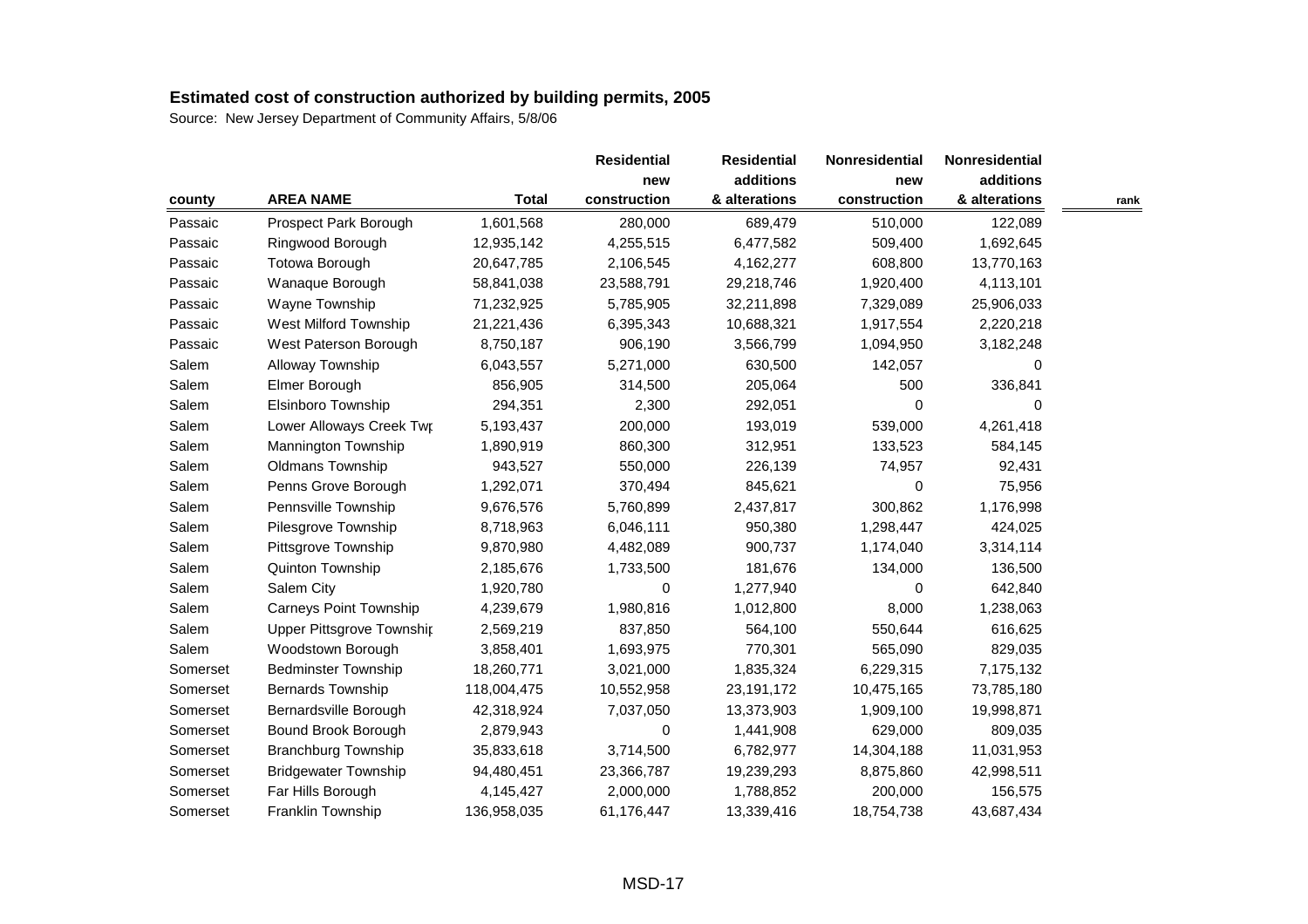| county   |                               |              |              | <b>Residential</b> | Nonresidential | Nonresidential |      |
|----------|-------------------------------|--------------|--------------|--------------------|----------------|----------------|------|
|          |                               |              | new          | additions          | new            | additions      |      |
|          | <b>AREA NAME</b>              | <b>Total</b> | construction | & alterations      | construction   | & alterations  | rank |
| Passaic  | Prospect Park Borough         | 1,601,568    | 280,000      | 689,479            | 510,000        | 122,089        |      |
| Passaic  | Ringwood Borough              | 12,935,142   | 4,255,515    | 6,477,582          | 509,400        | 1,692,645      |      |
| Passaic  | <b>Totowa Borough</b>         | 20,647,785   | 2,106,545    | 4,162,277          | 608,800        | 13,770,163     |      |
| Passaic  | Wanaque Borough               | 58,841,038   | 23,588,791   | 29,218,746         | 1,920,400      | 4,113,101      |      |
| Passaic  | Wayne Township                | 71,232,925   | 5,785,905    | 32,211,898         | 7,329,089      | 25,906,033     |      |
| Passaic  | West Milford Township         | 21,221,436   | 6,395,343    | 10,688,321         | 1,917,554      | 2,220,218      |      |
| Passaic  | West Paterson Borough         | 8,750,187    | 906,190      | 3,566,799          | 1,094,950      | 3,182,248      |      |
| Salem    | Alloway Township              | 6,043,557    | 5,271,000    | 630,500            | 142,057        | 0              |      |
| Salem    | Elmer Borough                 | 856,905      | 314,500      | 205,064            | 500            | 336,841        |      |
| Salem    | Elsinboro Township            | 294,351      | 2,300        | 292,051            | 0              | 0              |      |
| Salem    | Lower Alloways Creek Twr      | 5,193,437    | 200,000      | 193,019            | 539,000        | 4,261,418      |      |
| Salem    | Mannington Township           | 1,890,919    | 860,300      | 312,951            | 133,523        | 584,145        |      |
| Salem    | Oldmans Township              | 943,527      | 550,000      | 226,139            | 74,957         | 92,431         |      |
| Salem    | Penns Grove Borough           | 1,292,071    | 370,494      | 845,621            | 0              | 75,956         |      |
| Salem    | Pennsville Township           | 9,676,576    | 5,760,899    | 2,437,817          | 300,862        | 1,176,998      |      |
| Salem    | Pilesgrove Township           | 8,718,963    | 6,046,111    | 950,380            | 1,298,447      | 424,025        |      |
| Salem    | Pittsgrove Township           | 9,870,980    | 4,482,089    | 900,737            | 1,174,040      | 3,314,114      |      |
| Salem    | Quinton Township              | 2,185,676    | 1,733,500    | 181,676            | 134,000        | 136,500        |      |
| Salem    | Salem City                    | 1,920,780    | 0            | 1,277,940          | 0              | 642,840        |      |
| Salem    | <b>Carneys Point Township</b> | 4,239,679    | 1,980,816    | 1,012,800          | 8,000          | 1,238,063      |      |
| Salem    | Upper Pittsgrove Townshir     | 2,569,219    | 837,850      | 564,100            | 550,644        | 616,625        |      |
| Salem    | Woodstown Borough             | 3,858,401    | 1,693,975    | 770,301            | 565,090        | 829,035        |      |
| Somerset | <b>Bedminster Township</b>    | 18,260,771   | 3,021,000    | 1,835,324          | 6,229,315      | 7,175,132      |      |
| Somerset | <b>Bernards Township</b>      | 118,004,475  | 10,552,958   | 23, 191, 172       | 10,475,165     | 73,785,180     |      |
| Somerset | Bernardsville Borough         | 42,318,924   | 7,037,050    | 13,373,903         | 1,909,100      | 19,998,871     |      |
| Somerset | Bound Brook Borough           | 2,879,943    | 0            | 1,441,908          | 629,000        | 809,035        |      |
| Somerset | <b>Branchburg Township</b>    | 35,833,618   | 3,714,500    | 6,782,977          | 14,304,188     | 11,031,953     |      |
| Somerset | <b>Bridgewater Township</b>   | 94,480,451   | 23,366,787   | 19,239,293         | 8,875,860      | 42,998,511     |      |
| Somerset | Far Hills Borough             | 4,145,427    | 2,000,000    | 1,788,852          | 200,000        | 156,575        |      |
| Somerset | Franklin Township             | 136,958,035  | 61,176,447   | 13,339,416         | 18,754,738     | 43,687,434     |      |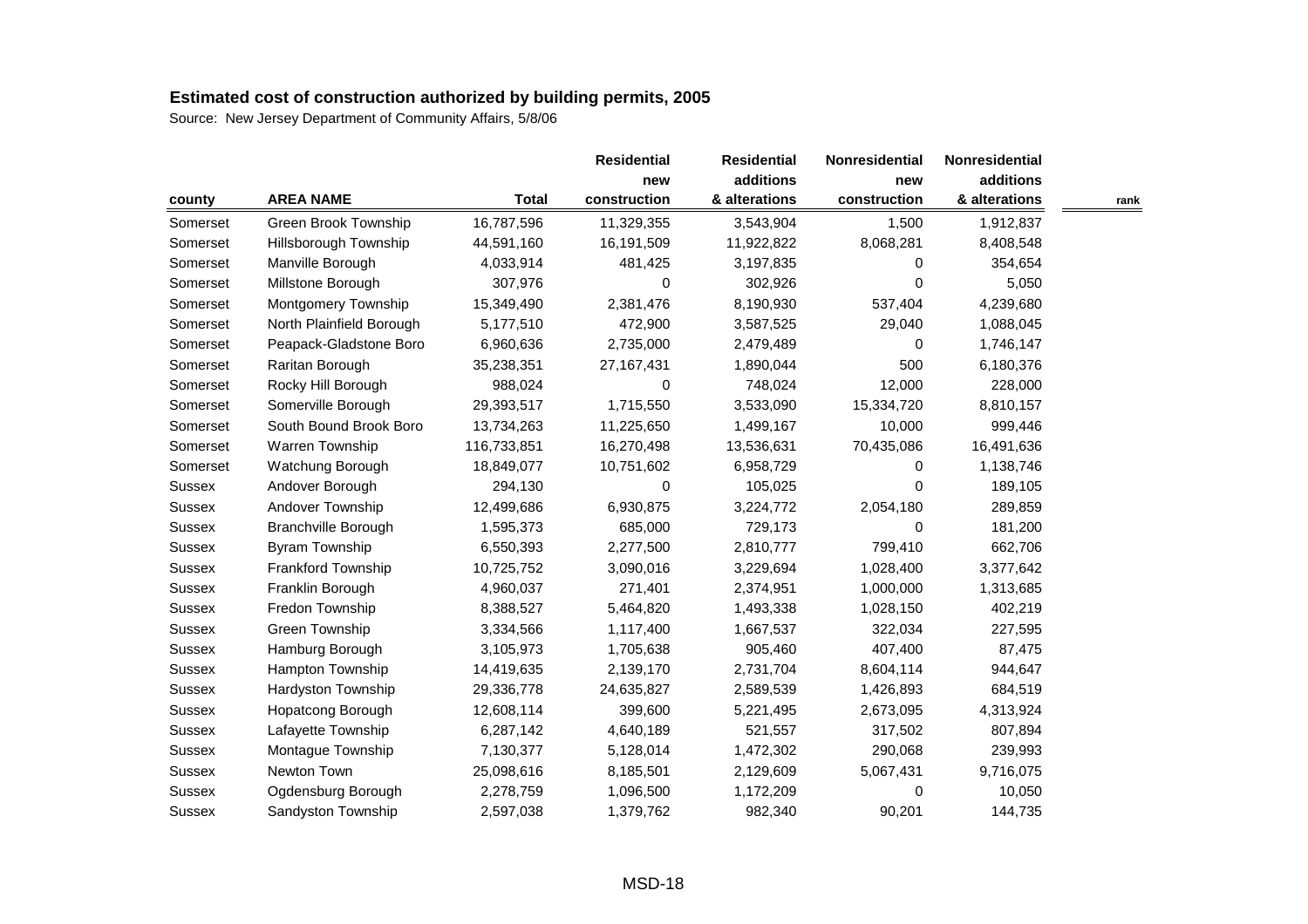| county        |                            |              |              | <b>Residential</b> | Nonresidential | Nonresidential |      |
|---------------|----------------------------|--------------|--------------|--------------------|----------------|----------------|------|
|               |                            |              | new          | additions          | new            | additions      |      |
|               | <b>AREA NAME</b>           | <b>Total</b> | construction | & alterations      | construction   | & alterations  | rank |
| Somerset      | Green Brook Township       | 16,787,596   | 11,329,355   | 3,543,904          | 1,500          | 1,912,837      |      |
| Somerset      | Hillsborough Township      | 44,591,160   | 16,191,509   | 11,922,822         | 8,068,281      | 8,408,548      |      |
| Somerset      | Manville Borough           | 4,033,914    | 481,425      | 3,197,835          | 0              | 354,654        |      |
| Somerset      | Millstone Borough          | 307,976      | 0            | 302,926            | $\Omega$       | 5,050          |      |
| Somerset      | Montgomery Township        | 15,349,490   | 2,381,476    | 8,190,930          | 537,404        | 4,239,680      |      |
| Somerset      | North Plainfield Borough   | 5,177,510    | 472,900      | 3,587,525          | 29,040         | 1,088,045      |      |
| Somerset      | Peapack-Gladstone Boro     | 6,960,636    | 2,735,000    | 2,479,489          | 0              | 1,746,147      |      |
| Somerset      | Raritan Borough            | 35,238,351   | 27, 167, 431 | 1,890,044          | 500            | 6,180,376      |      |
| Somerset      | Rocky Hill Borough         | 988,024      | 0            | 748,024            | 12,000         | 228,000        |      |
| Somerset      | Somerville Borough         | 29,393,517   | 1,715,550    | 3,533,090          | 15,334,720     | 8,810,157      |      |
| Somerset      | South Bound Brook Boro     | 13,734,263   | 11,225,650   | 1,499,167          | 10,000         | 999,446        |      |
| Somerset      | Warren Township            | 116,733,851  | 16,270,498   | 13,536,631         | 70,435,086     | 16,491,636     |      |
| Somerset      | Watchung Borough           | 18,849,077   | 10,751,602   | 6,958,729          | 0              | 1,138,746      |      |
| Sussex        | Andover Borough            | 294,130      | 0            | 105,025            | $\Omega$       | 189,105        |      |
| Sussex        | Andover Township           | 12,499,686   | 6,930,875    | 3,224,772          | 2,054,180      | 289,859        |      |
| Sussex        | <b>Branchville Borough</b> | 1,595,373    | 685,000      | 729,173            | 0              | 181,200        |      |
| <b>Sussex</b> | <b>Byram Township</b>      | 6,550,393    | 2,277,500    | 2,810,777          | 799,410        | 662,706        |      |
| Sussex        | Frankford Township         | 10,725,752   | 3,090,016    | 3,229,694          | 1,028,400      | 3,377,642      |      |
| Sussex        | Franklin Borough           | 4,960,037    | 271,401      | 2,374,951          | 1,000,000      | 1,313,685      |      |
| Sussex        | Fredon Township            | 8,388,527    | 5,464,820    | 1,493,338          | 1,028,150      | 402,219        |      |
| Sussex        | Green Township             | 3,334,566    | 1,117,400    | 1,667,537          | 322,034        | 227,595        |      |
| Sussex        | Hamburg Borough            | 3,105,973    | 1,705,638    | 905,460            | 407,400        | 87,475         |      |
| Sussex        | Hampton Township           | 14,419,635   | 2,139,170    | 2,731,704          | 8,604,114      | 944,647        |      |
| Sussex        | Hardyston Township         | 29,336,778   | 24,635,827   | 2,589,539          | 1,426,893      | 684,519        |      |
| Sussex        | Hopatcong Borough          | 12,608,114   | 399,600      | 5,221,495          | 2,673,095      | 4,313,924      |      |
| Sussex        | Lafayette Township         | 6,287,142    | 4,640,189    | 521,557            | 317,502        | 807,894        |      |
| Sussex        | Montague Township          | 7,130,377    | 5,128,014    | 1,472,302          | 290,068        | 239,993        |      |
| Sussex        | Newton Town                | 25,098,616   | 8,185,501    | 2,129,609          | 5,067,431      | 9,716,075      |      |
| Sussex        | Ogdensburg Borough         | 2,278,759    | 1,096,500    | 1,172,209          | 0              | 10,050         |      |
| Sussex        | Sandyston Township         | 2,597,038    | 1,379,762    | 982,340            | 90,201         | 144,735        |      |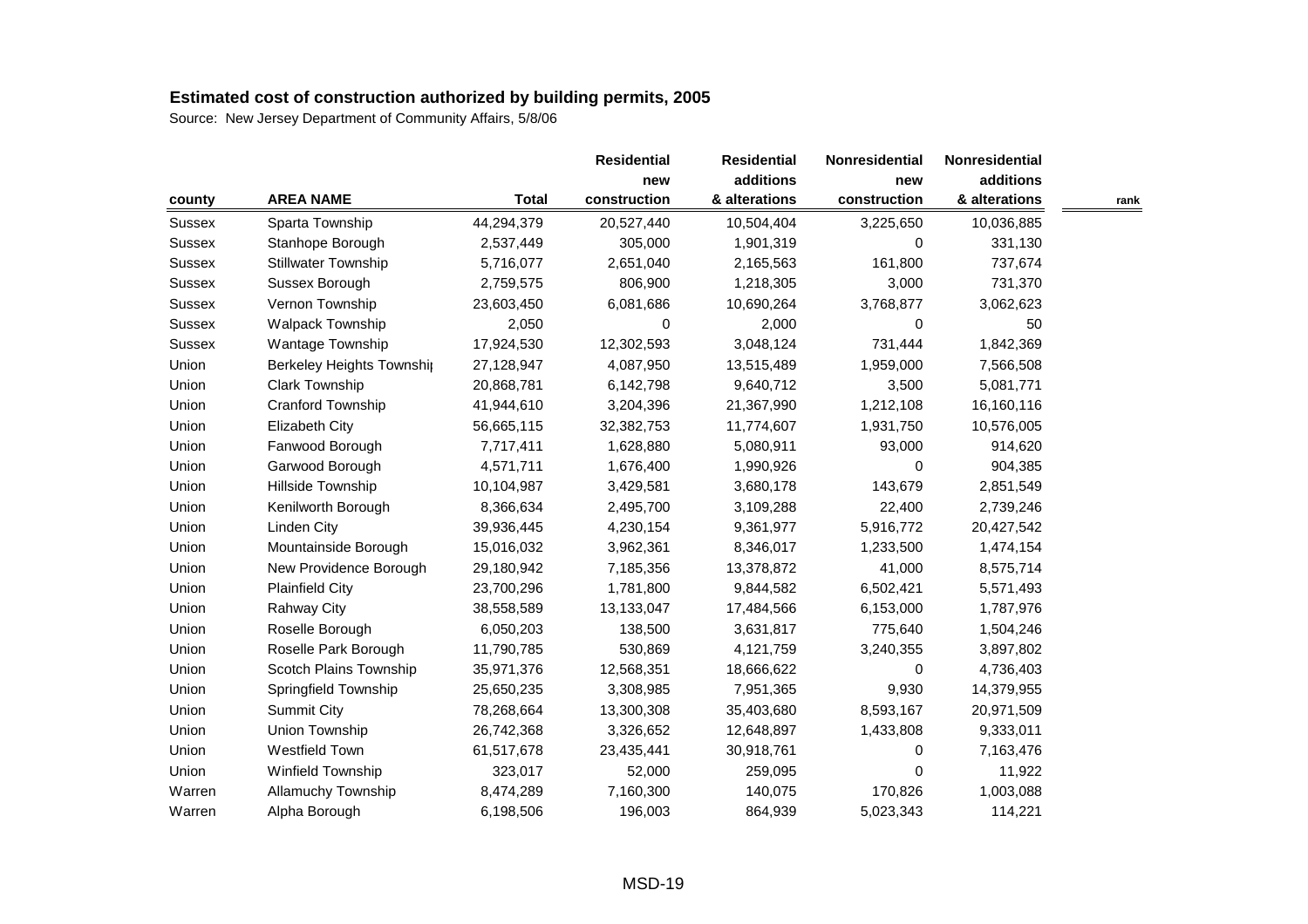|               |                            |              | <b>Residential</b> | <b>Residential</b> | Nonresidential | Nonresidential |      |
|---------------|----------------------------|--------------|--------------------|--------------------|----------------|----------------|------|
|               |                            |              | new                | additions          | new            | additions      |      |
| county        | <b>AREA NAME</b>           | <b>Total</b> | construction       | & alterations      | construction   | & alterations  | rank |
| <b>Sussex</b> | Sparta Township            | 44,294,379   | 20,527,440         | 10,504,404         | 3,225,650      | 10,036,885     |      |
| Sussex        | Stanhope Borough           | 2,537,449    | 305,000            | 1,901,319          | 0              | 331,130        |      |
| Sussex        | <b>Stillwater Township</b> | 5,716,077    | 2,651,040          | 2,165,563          | 161,800        | 737,674        |      |
| <b>Sussex</b> | Sussex Borough             | 2,759,575    | 806,900            | 1,218,305          | 3,000          | 731,370        |      |
| Sussex        | Vernon Township            | 23,603,450   | 6,081,686          | 10,690,264         | 3,768,877      | 3,062,623      |      |
| Sussex        | Walpack Township           | 2,050        | 0                  | 2,000              | 0              | 50             |      |
| <b>Sussex</b> | <b>Wantage Township</b>    | 17,924,530   | 12,302,593         | 3,048,124          | 731,444        | 1,842,369      |      |
| Union         | Berkeley Heights Township  | 27,128,947   | 4,087,950          | 13,515,489         | 1,959,000      | 7,566,508      |      |
| Union         | Clark Township             | 20,868,781   | 6,142,798          | 9,640,712          | 3,500          | 5,081,771      |      |
| Union         | Cranford Township          | 41,944,610   | 3,204,396          | 21,367,990         | 1,212,108      | 16,160,116     |      |
| Union         | <b>Elizabeth City</b>      | 56,665,115   | 32,382,753         | 11,774,607         | 1,931,750      | 10,576,005     |      |
| Union         | Fanwood Borough            | 7,717,411    | 1,628,880          | 5,080,911          | 93,000         | 914,620        |      |
| Union         | Garwood Borough            | 4,571,711    | 1,676,400          | 1,990,926          | 0              | 904,385        |      |
| Union         | Hillside Township          | 10,104,987   | 3,429,581          | 3,680,178          | 143,679        | 2,851,549      |      |
| Union         | Kenilworth Borough         | 8,366,634    | 2,495,700          | 3,109,288          | 22,400         | 2,739,246      |      |
| Union         | <b>Linden City</b>         | 39,936,445   | 4,230,154          | 9,361,977          | 5,916,772      | 20,427,542     |      |
| Union         | Mountainside Borough       | 15,016,032   | 3,962,361          | 8,346,017          | 1,233,500      | 1,474,154      |      |
| Union         | New Providence Borough     | 29,180,942   | 7,185,356          | 13,378,872         | 41,000         | 8,575,714      |      |
| Union         | <b>Plainfield City</b>     | 23,700,296   | 1,781,800          | 9,844,582          | 6,502,421      | 5,571,493      |      |
| Union         | <b>Rahway City</b>         | 38,558,589   | 13,133,047         | 17,484,566         | 6,153,000      | 1,787,976      |      |
| Union         | Roselle Borough            | 6,050,203    | 138,500            | 3,631,817          | 775,640        | 1,504,246      |      |
| Union         | Roselle Park Borough       | 11,790,785   | 530,869            | 4,121,759          | 3,240,355      | 3,897,802      |      |
| Union         | Scotch Plains Township     | 35,971,376   | 12,568,351         | 18,666,622         | 0              | 4,736,403      |      |
| Union         | Springfield Township       | 25,650,235   | 3,308,985          | 7,951,365          | 9,930          | 14,379,955     |      |
| Union         | <b>Summit City</b>         | 78,268,664   | 13,300,308         | 35,403,680         | 8,593,167      | 20,971,509     |      |
| Union         | Union Township             | 26,742,368   | 3,326,652          | 12,648,897         | 1,433,808      | 9,333,011      |      |
| Union         | Westfield Town             | 61,517,678   | 23,435,441         | 30,918,761         | 0              | 7,163,476      |      |
| Union         | Winfield Township          | 323,017      | 52,000             | 259,095            | 0              | 11,922         |      |
| Warren        | <b>Allamuchy Township</b>  | 8,474,289    | 7,160,300          | 140,075            | 170,826        | 1,003,088      |      |
| Warren        | Alpha Borough              | 6,198,506    | 196,003            | 864,939            | 5,023,343      | 114,221        |      |